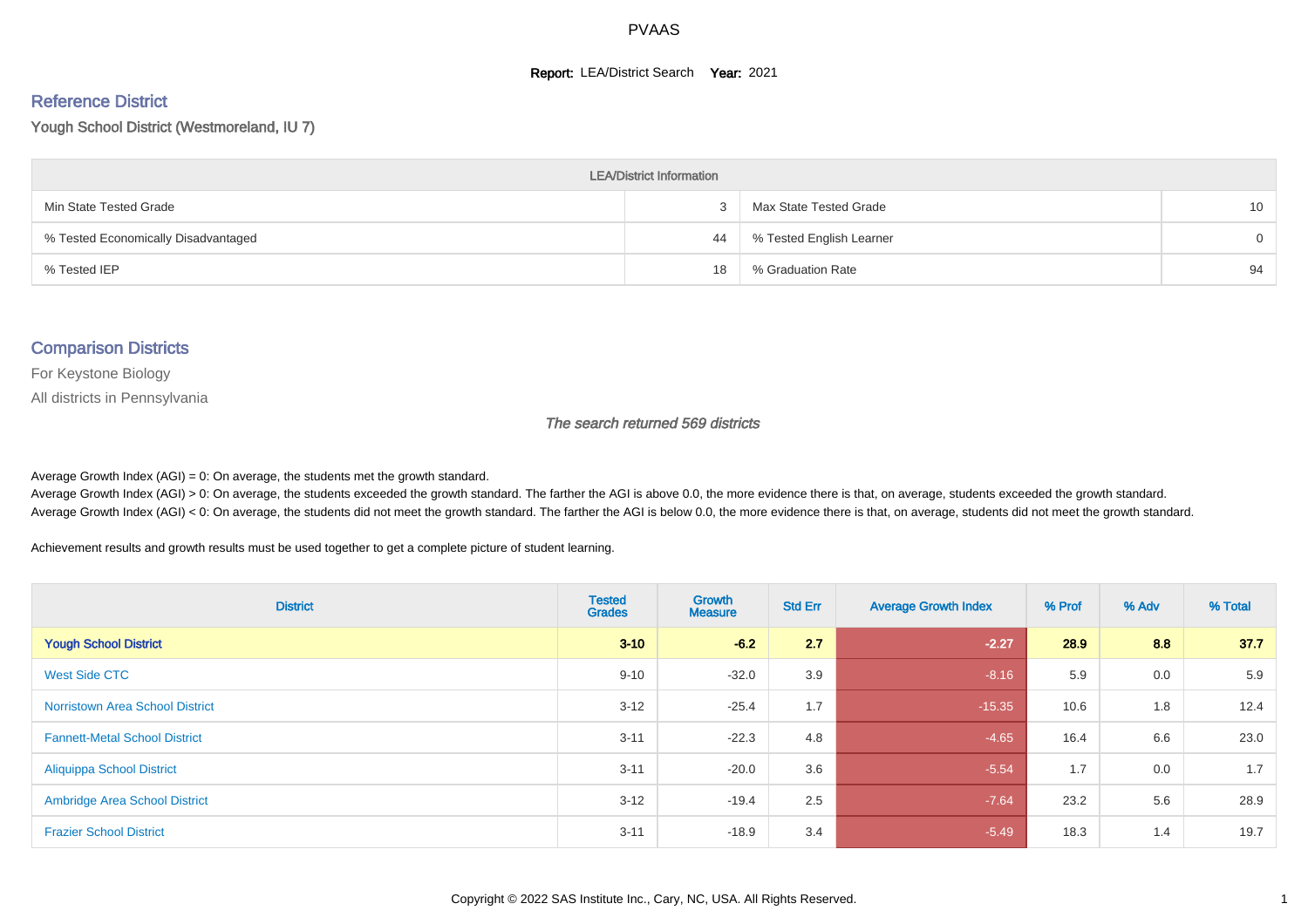#### **Report: LEA/District Search Year: 2021**

# Reference District

Yough School District (Westmoreland, IU 7)

| <b>LEA/District Information</b>     |    |                          |                 |  |  |  |  |  |  |  |
|-------------------------------------|----|--------------------------|-----------------|--|--|--|--|--|--|--|
| Min State Tested Grade              |    | Max State Tested Grade   | 10 <sup>°</sup> |  |  |  |  |  |  |  |
| % Tested Economically Disadvantaged | 44 | % Tested English Learner | $\Omega$        |  |  |  |  |  |  |  |
| % Tested IEP                        | 18 | % Graduation Rate        | 94              |  |  |  |  |  |  |  |

#### Comparison Districts

For Keystone Biology

All districts in Pennsylvania

The search returned 569 districts

Average Growth Index  $(AGI) = 0$ : On average, the students met the growth standard.

Average Growth Index (AGI) > 0: On average, the students exceeded the growth standard. The farther the AGI is above 0.0, the more evidence there is that, on average, students exceeded the growth standard. Average Growth Index (AGI) < 0: On average, the students did not meet the growth standard. The farther the AGI is below 0.0, the more evidence there is that, on average, students did not meet the growth standard.

Achievement results and growth results must be used together to get a complete picture of student learning.

| <b>District</b>                        | <b>Tested</b><br><b>Grades</b> | Growth<br><b>Measure</b> | <b>Std Err</b> | <b>Average Growth Index</b> | % Prof | % Adv | % Total |
|----------------------------------------|--------------------------------|--------------------------|----------------|-----------------------------|--------|-------|---------|
| <b>Yough School District</b>           | $3 - 10$                       | $-6.2$                   | 2.7            | $-2.27$                     | 28.9   | 8.8   | 37.7    |
| West Side CTC                          | $9 - 10$                       | $-32.0$                  | 3.9            | $-8.16$                     | 5.9    | 0.0   | 5.9     |
| <b>Norristown Area School District</b> | $3 - 12$                       | $-25.4$                  | 1.7            | $-15.35$                    | 10.6   | 1.8   | 12.4    |
| <b>Fannett-Metal School District</b>   | $3 - 11$                       | $-22.3$                  | 4.8            | $-4.65$                     | 16.4   | 6.6   | 23.0    |
| <b>Aliquippa School District</b>       | $3 - 11$                       | $-20.0$                  | 3.6            | $-5.54$                     | 1.7    | 0.0   | 1.7     |
| <b>Ambridge Area School District</b>   | $3 - 12$                       | $-19.4$                  | 2.5            | $-7.64$                     | 23.2   | 5.6   | 28.9    |
| <b>Frazier School District</b>         | $3 - 11$                       | $-18.9$                  | 3.4            | $-5.49$                     | 18.3   | 1.4   | 19.7    |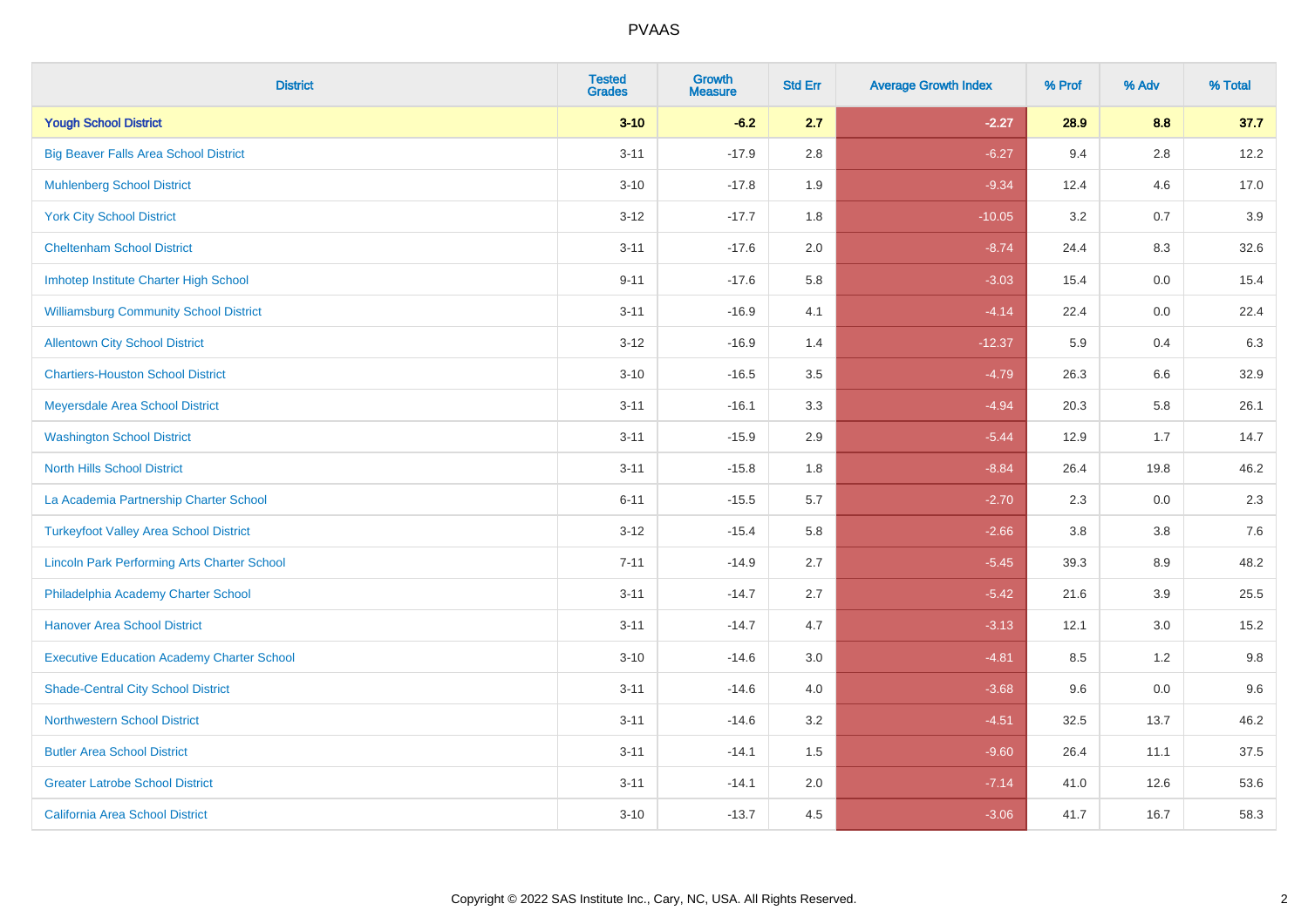| <b>District</b>                                    | <b>Tested</b><br><b>Grades</b> | <b>Growth</b><br><b>Measure</b> | <b>Std Err</b> | <b>Average Growth Index</b> | % Prof | % Adv   | % Total |
|----------------------------------------------------|--------------------------------|---------------------------------|----------------|-----------------------------|--------|---------|---------|
| <b>Yough School District</b>                       | $3 - 10$                       | $-6.2$                          | 2.7            | $-2.27$                     | 28.9   | 8.8     | 37.7    |
| <b>Big Beaver Falls Area School District</b>       | $3 - 11$                       | $-17.9$                         | 2.8            | $-6.27$                     | 9.4    | 2.8     | 12.2    |
| <b>Muhlenberg School District</b>                  | $3 - 10$                       | $-17.8$                         | 1.9            | $-9.34$                     | 12.4   | 4.6     | 17.0    |
| <b>York City School District</b>                   | $3-12$                         | $-17.7$                         | 1.8            | $-10.05$                    | 3.2    | 0.7     | 3.9     |
| <b>Cheltenham School District</b>                  | $3 - 11$                       | $-17.6$                         | 2.0            | $-8.74$                     | 24.4   | 8.3     | 32.6    |
| Imhotep Institute Charter High School              | $9 - 11$                       | $-17.6$                         | 5.8            | $-3.03$                     | 15.4   | 0.0     | 15.4    |
| <b>Williamsburg Community School District</b>      | $3 - 11$                       | $-16.9$                         | 4.1            | $-4.14$                     | 22.4   | $0.0\,$ | 22.4    |
| <b>Allentown City School District</b>              | $3 - 12$                       | $-16.9$                         | 1.4            | $-12.37$                    | 5.9    | 0.4     | 6.3     |
| <b>Chartiers-Houston School District</b>           | $3 - 10$                       | $-16.5$                         | 3.5            | $-4.79$                     | 26.3   | 6.6     | 32.9    |
| Meyersdale Area School District                    | $3 - 11$                       | $-16.1$                         | 3.3            | $-4.94$                     | 20.3   | 5.8     | 26.1    |
| <b>Washington School District</b>                  | $3 - 11$                       | $-15.9$                         | 2.9            | $-5.44$                     | 12.9   | 1.7     | 14.7    |
| <b>North Hills School District</b>                 | $3 - 11$                       | $-15.8$                         | 1.8            | $-8.84$                     | 26.4   | 19.8    | 46.2    |
| La Academia Partnership Charter School             | $6 - 11$                       | $-15.5$                         | 5.7            | $-2.70$                     | 2.3    | 0.0     | 2.3     |
| <b>Turkeyfoot Valley Area School District</b>      | $3 - 12$                       | $-15.4$                         | 5.8            | $-2.66$                     | 3.8    | $3.8\,$ | 7.6     |
| <b>Lincoln Park Performing Arts Charter School</b> | $7 - 11$                       | $-14.9$                         | 2.7            | $-5.45$                     | 39.3   | 8.9     | 48.2    |
| Philadelphia Academy Charter School                | $3 - 11$                       | $-14.7$                         | 2.7            | $-5.42$                     | 21.6   | 3.9     | 25.5    |
| <b>Hanover Area School District</b>                | $3 - 11$                       | $-14.7$                         | 4.7            | $-3.13$                     | 12.1   | 3.0     | 15.2    |
| <b>Executive Education Academy Charter School</b>  | $3 - 10$                       | $-14.6$                         | 3.0            | $-4.81$                     | 8.5    | $1.2$   | 9.8     |
| <b>Shade-Central City School District</b>          | $3 - 11$                       | $-14.6$                         | 4.0            | $-3.68$                     | 9.6    | 0.0     | 9.6     |
| <b>Northwestern School District</b>                | $3 - 11$                       | $-14.6$                         | 3.2            | $-4.51$                     | 32.5   | 13.7    | 46.2    |
| <b>Butler Area School District</b>                 | $3 - 11$                       | $-14.1$                         | 1.5            | $-9.60$                     | 26.4   | 11.1    | 37.5    |
| <b>Greater Latrobe School District</b>             | $3 - 11$                       | $-14.1$                         | 2.0            | $-7.14$                     | 41.0   | 12.6    | 53.6    |
| <b>California Area School District</b>             | $3 - 10$                       | $-13.7$                         | 4.5            | $-3.06$                     | 41.7   | 16.7    | 58.3    |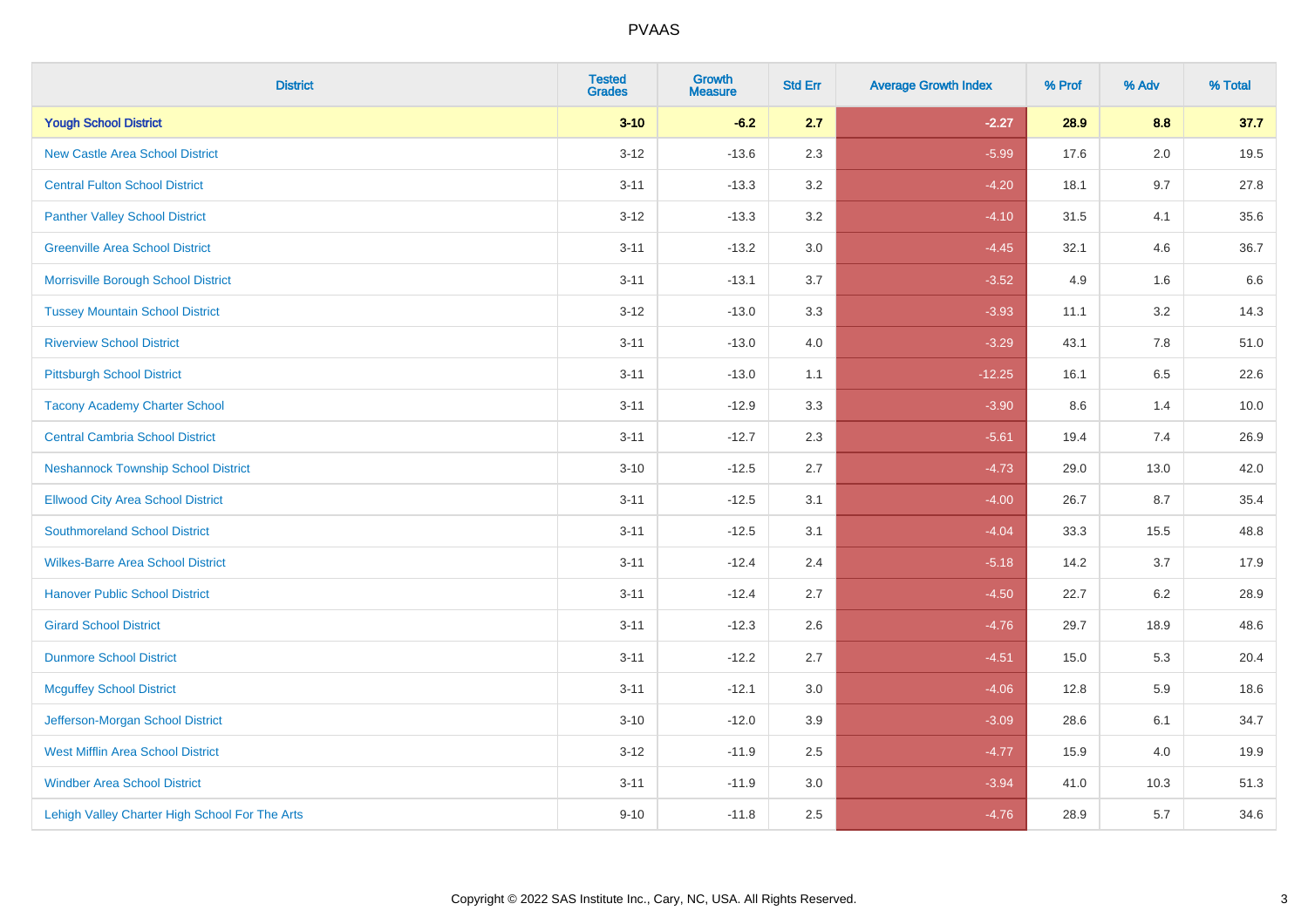| <b>District</b>                                | <b>Tested</b><br><b>Grades</b> | <b>Growth</b><br><b>Measure</b> | <b>Std Err</b> | <b>Average Growth Index</b> | % Prof | % Adv | % Total |
|------------------------------------------------|--------------------------------|---------------------------------|----------------|-----------------------------|--------|-------|---------|
| <b>Yough School District</b>                   | $3 - 10$                       | $-6.2$                          | 2.7            | $-2.27$                     | 28.9   | 8.8   | 37.7    |
| <b>New Castle Area School District</b>         | $3 - 12$                       | $-13.6$                         | 2.3            | $-5.99$                     | 17.6   | 2.0   | 19.5    |
| <b>Central Fulton School District</b>          | $3 - 11$                       | $-13.3$                         | 3.2            | $-4.20$                     | 18.1   | 9.7   | 27.8    |
| <b>Panther Valley School District</b>          | $3 - 12$                       | $-13.3$                         | 3.2            | $-4.10$                     | 31.5   | 4.1   | 35.6    |
| <b>Greenville Area School District</b>         | $3 - 11$                       | $-13.2$                         | 3.0            | $-4.45$                     | 32.1   | 4.6   | 36.7    |
| Morrisville Borough School District            | $3 - 11$                       | $-13.1$                         | 3.7            | $-3.52$                     | 4.9    | 1.6   | 6.6     |
| <b>Tussey Mountain School District</b>         | $3 - 12$                       | $-13.0$                         | 3.3            | $-3.93$                     | 11.1   | 3.2   | 14.3    |
| <b>Riverview School District</b>               | $3 - 11$                       | $-13.0$                         | 4.0            | $-3.29$                     | 43.1   | 7.8   | 51.0    |
| <b>Pittsburgh School District</b>              | $3 - 11$                       | $-13.0$                         | 1.1            | $-12.25$                    | 16.1   | 6.5   | 22.6    |
| <b>Tacony Academy Charter School</b>           | $3 - 11$                       | $-12.9$                         | 3.3            | $-3.90$                     | 8.6    | 1.4   | 10.0    |
| <b>Central Cambria School District</b>         | $3 - 11$                       | $-12.7$                         | 2.3            | $-5.61$                     | 19.4   | 7.4   | 26.9    |
| <b>Neshannock Township School District</b>     | $3 - 10$                       | $-12.5$                         | 2.7            | $-4.73$                     | 29.0   | 13.0  | 42.0    |
| <b>Ellwood City Area School District</b>       | $3 - 11$                       | $-12.5$                         | 3.1            | $-4.00$                     | 26.7   | 8.7   | 35.4    |
| <b>Southmoreland School District</b>           | $3 - 11$                       | $-12.5$                         | 3.1            | $-4.04$                     | 33.3   | 15.5  | 48.8    |
| <b>Wilkes-Barre Area School District</b>       | $3 - 11$                       | $-12.4$                         | 2.4            | $-5.18$                     | 14.2   | 3.7   | 17.9    |
| <b>Hanover Public School District</b>          | $3 - 11$                       | $-12.4$                         | 2.7            | $-4.50$                     | 22.7   | 6.2   | 28.9    |
| <b>Girard School District</b>                  | $3 - 11$                       | $-12.3$                         | 2.6            | $-4.76$                     | 29.7   | 18.9  | 48.6    |
| <b>Dunmore School District</b>                 | $3 - 11$                       | $-12.2$                         | 2.7            | $-4.51$                     | 15.0   | 5.3   | 20.4    |
| <b>Mcguffey School District</b>                | $3 - 11$                       | $-12.1$                         | 3.0            | $-4.06$                     | 12.8   | 5.9   | 18.6    |
| Jefferson-Morgan School District               | $3 - 10$                       | $-12.0$                         | 3.9            | $-3.09$                     | 28.6   | 6.1   | 34.7    |
| <b>West Mifflin Area School District</b>       | $3 - 12$                       | $-11.9$                         | 2.5            | $-4.77$                     | 15.9   | 4.0   | 19.9    |
| <b>Windber Area School District</b>            | $3 - 11$                       | $-11.9$                         | 3.0            | $-3.94$                     | 41.0   | 10.3  | 51.3    |
| Lehigh Valley Charter High School For The Arts | $9 - 10$                       | $-11.8$                         | 2.5            | $-4.76$                     | 28.9   | 5.7   | 34.6    |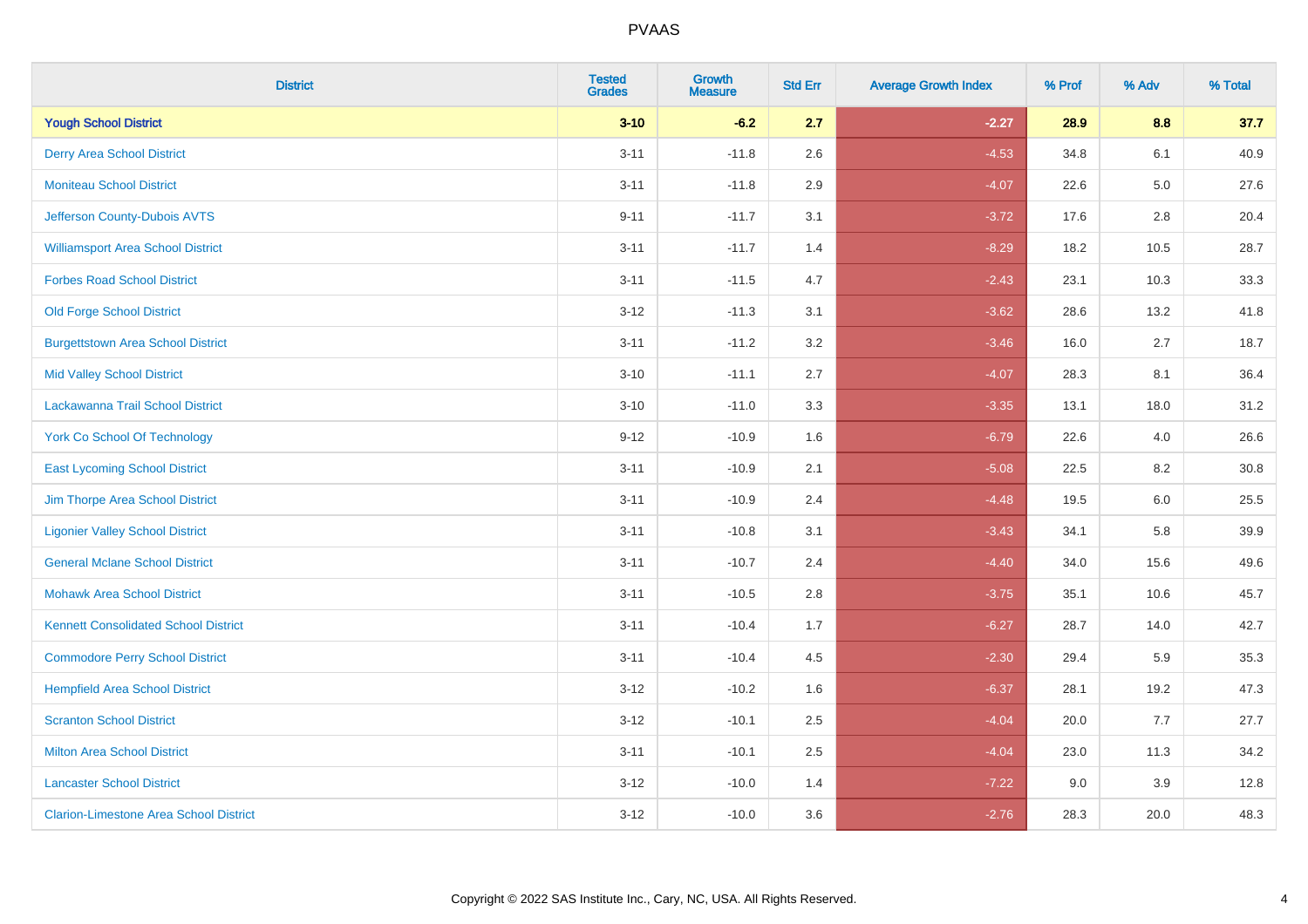| <b>District</b>                               | <b>Tested</b><br><b>Grades</b> | <b>Growth</b><br><b>Measure</b> | <b>Std Err</b> | <b>Average Growth Index</b> | % Prof | % Adv   | % Total |
|-----------------------------------------------|--------------------------------|---------------------------------|----------------|-----------------------------|--------|---------|---------|
| <b>Yough School District</b>                  | $3 - 10$                       | $-6.2$                          | 2.7            | $-2.27$                     | 28.9   | 8.8     | 37.7    |
| <b>Derry Area School District</b>             | $3 - 11$                       | $-11.8$                         | 2.6            | $-4.53$                     | 34.8   | 6.1     | 40.9    |
| <b>Moniteau School District</b>               | $3 - 11$                       | $-11.8$                         | 2.9            | $-4.07$                     | 22.6   | $5.0\,$ | 27.6    |
| Jefferson County-Dubois AVTS                  | $9 - 11$                       | $-11.7$                         | 3.1            | $-3.72$                     | 17.6   | $2.8\,$ | 20.4    |
| <b>Williamsport Area School District</b>      | $3 - 11$                       | $-11.7$                         | 1.4            | $-8.29$                     | 18.2   | 10.5    | 28.7    |
| <b>Forbes Road School District</b>            | $3 - 11$                       | $-11.5$                         | 4.7            | $-2.43$                     | 23.1   | 10.3    | 33.3    |
| <b>Old Forge School District</b>              | $3 - 12$                       | $-11.3$                         | 3.1            | $-3.62$                     | 28.6   | 13.2    | 41.8    |
| <b>Burgettstown Area School District</b>      | $3 - 11$                       | $-11.2$                         | 3.2            | $-3.46$                     | 16.0   | 2.7     | 18.7    |
| <b>Mid Valley School District</b>             | $3 - 10$                       | $-11.1$                         | 2.7            | $-4.07$                     | 28.3   | 8.1     | 36.4    |
| Lackawanna Trail School District              | $3 - 10$                       | $-11.0$                         | 3.3            | $-3.35$                     | 13.1   | 18.0    | 31.2    |
| <b>York Co School Of Technology</b>           | $9 - 12$                       | $-10.9$                         | 1.6            | $-6.79$                     | 22.6   | 4.0     | 26.6    |
| <b>East Lycoming School District</b>          | $3 - 11$                       | $-10.9$                         | 2.1            | $-5.08$                     | 22.5   | 8.2     | 30.8    |
| Jim Thorpe Area School District               | $3 - 11$                       | $-10.9$                         | 2.4            | $-4.48$                     | 19.5   | 6.0     | 25.5    |
| <b>Ligonier Valley School District</b>        | $3 - 11$                       | $-10.8$                         | 3.1            | $-3.43$                     | 34.1   | 5.8     | 39.9    |
| <b>General Mclane School District</b>         | $3 - 11$                       | $-10.7$                         | 2.4            | $-4.40$                     | 34.0   | 15.6    | 49.6    |
| <b>Mohawk Area School District</b>            | $3 - 11$                       | $-10.5$                         | 2.8            | $-3.75$                     | 35.1   | 10.6    | 45.7    |
| <b>Kennett Consolidated School District</b>   | $3 - 11$                       | $-10.4$                         | 1.7            | $-6.27$                     | 28.7   | 14.0    | 42.7    |
| <b>Commodore Perry School District</b>        | $3 - 11$                       | $-10.4$                         | 4.5            | $-2.30$                     | 29.4   | 5.9     | 35.3    |
| <b>Hempfield Area School District</b>         | $3 - 12$                       | $-10.2$                         | 1.6            | $-6.37$                     | 28.1   | 19.2    | 47.3    |
| <b>Scranton School District</b>               | $3 - 12$                       | $-10.1$                         | 2.5            | $-4.04$                     | 20.0   | 7.7     | 27.7    |
| <b>Milton Area School District</b>            | $3 - 11$                       | $-10.1$                         | 2.5            | $-4.04$                     | 23.0   | 11.3    | 34.2    |
| <b>Lancaster School District</b>              | $3 - 12$                       | $-10.0$                         | 1.4            | $-7.22$                     | 9.0    | 3.9     | 12.8    |
| <b>Clarion-Limestone Area School District</b> | $3 - 12$                       | $-10.0$                         | 3.6            | $-2.76$                     | 28.3   | 20.0    | 48.3    |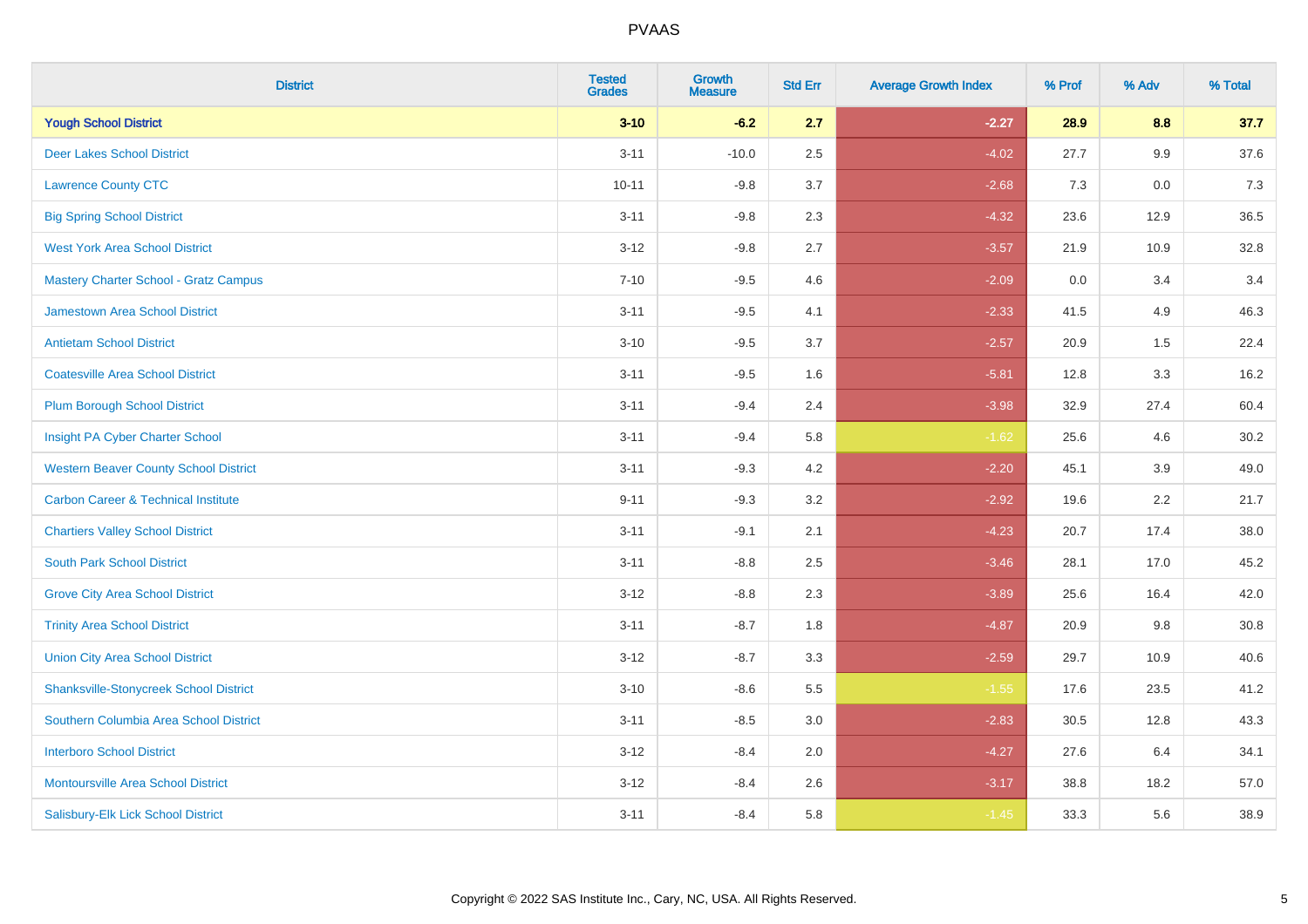| <b>District</b>                                | <b>Tested</b><br><b>Grades</b> | <b>Growth</b><br><b>Measure</b> | <b>Std Err</b> | <b>Average Growth Index</b> | % Prof | % Adv   | % Total |
|------------------------------------------------|--------------------------------|---------------------------------|----------------|-----------------------------|--------|---------|---------|
| <b>Yough School District</b>                   | $3 - 10$                       | $-6.2$                          | 2.7            | $-2.27$                     | 28.9   | 8.8     | 37.7    |
| <b>Deer Lakes School District</b>              | $3 - 11$                       | $-10.0$                         | 2.5            | $-4.02$                     | 27.7   | $9.9\,$ | 37.6    |
| <b>Lawrence County CTC</b>                     | $10 - 11$                      | $-9.8$                          | 3.7            | $-2.68$                     | 7.3    | 0.0     | 7.3     |
| <b>Big Spring School District</b>              | $3 - 11$                       | $-9.8$                          | 2.3            | $-4.32$                     | 23.6   | 12.9    | 36.5    |
| <b>West York Area School District</b>          | $3 - 12$                       | $-9.8$                          | 2.7            | $-3.57$                     | 21.9   | 10.9    | 32.8    |
| <b>Mastery Charter School - Gratz Campus</b>   | $7 - 10$                       | $-9.5$                          | 4.6            | $-2.09$                     | 0.0    | 3.4     | 3.4     |
| Jamestown Area School District                 | $3 - 11$                       | $-9.5$                          | 4.1            | $-2.33$                     | 41.5   | 4.9     | 46.3    |
| <b>Antietam School District</b>                | $3 - 10$                       | $-9.5$                          | 3.7            | $-2.57$                     | 20.9   | 1.5     | 22.4    |
| <b>Coatesville Area School District</b>        | $3 - 11$                       | $-9.5$                          | 1.6            | $-5.81$                     | 12.8   | 3.3     | 16.2    |
| <b>Plum Borough School District</b>            | $3 - 11$                       | $-9.4$                          | 2.4            | $-3.98$                     | 32.9   | 27.4    | 60.4    |
| Insight PA Cyber Charter School                | $3 - 11$                       | $-9.4$                          | 5.8            | $-1.62$                     | 25.6   | 4.6     | 30.2    |
| <b>Western Beaver County School District</b>   | $3 - 11$                       | $-9.3$                          | 4.2            | $-2.20$                     | 45.1   | 3.9     | 49.0    |
| <b>Carbon Career &amp; Technical Institute</b> | $9 - 11$                       | $-9.3$                          | 3.2            | $-2.92$                     | 19.6   | 2.2     | 21.7    |
| <b>Chartiers Valley School District</b>        | $3 - 11$                       | $-9.1$                          | 2.1            | $-4.23$                     | 20.7   | 17.4    | 38.0    |
| <b>South Park School District</b>              | $3 - 11$                       | $-8.8$                          | 2.5            | $-3.46$                     | 28.1   | 17.0    | 45.2    |
| <b>Grove City Area School District</b>         | $3 - 12$                       | $-8.8$                          | 2.3            | $-3.89$                     | 25.6   | 16.4    | 42.0    |
| <b>Trinity Area School District</b>            | $3 - 11$                       | $-8.7$                          | 1.8            | $-4.87$                     | 20.9   | 9.8     | 30.8    |
| <b>Union City Area School District</b>         | $3 - 12$                       | $-8.7$                          | 3.3            | $-2.59$                     | 29.7   | 10.9    | 40.6    |
| <b>Shanksville-Stonycreek School District</b>  | $3 - 10$                       | $-8.6$                          | 5.5            | $-1.55$                     | 17.6   | 23.5    | 41.2    |
| Southern Columbia Area School District         | $3 - 11$                       | $-8.5$                          | 3.0            | $-2.83$                     | 30.5   | 12.8    | 43.3    |
| <b>Interboro School District</b>               | $3 - 12$                       | $-8.4$                          | 2.0            | $-4.27$                     | 27.6   | 6.4     | 34.1    |
| <b>Montoursville Area School District</b>      | $3 - 12$                       | $-8.4$                          | 2.6            | $-3.17$                     | 38.8   | 18.2    | 57.0    |
| Salisbury-Elk Lick School District             | $3 - 11$                       | $-8.4$                          | 5.8            | $-1.45$                     | 33.3   | 5.6     | 38.9    |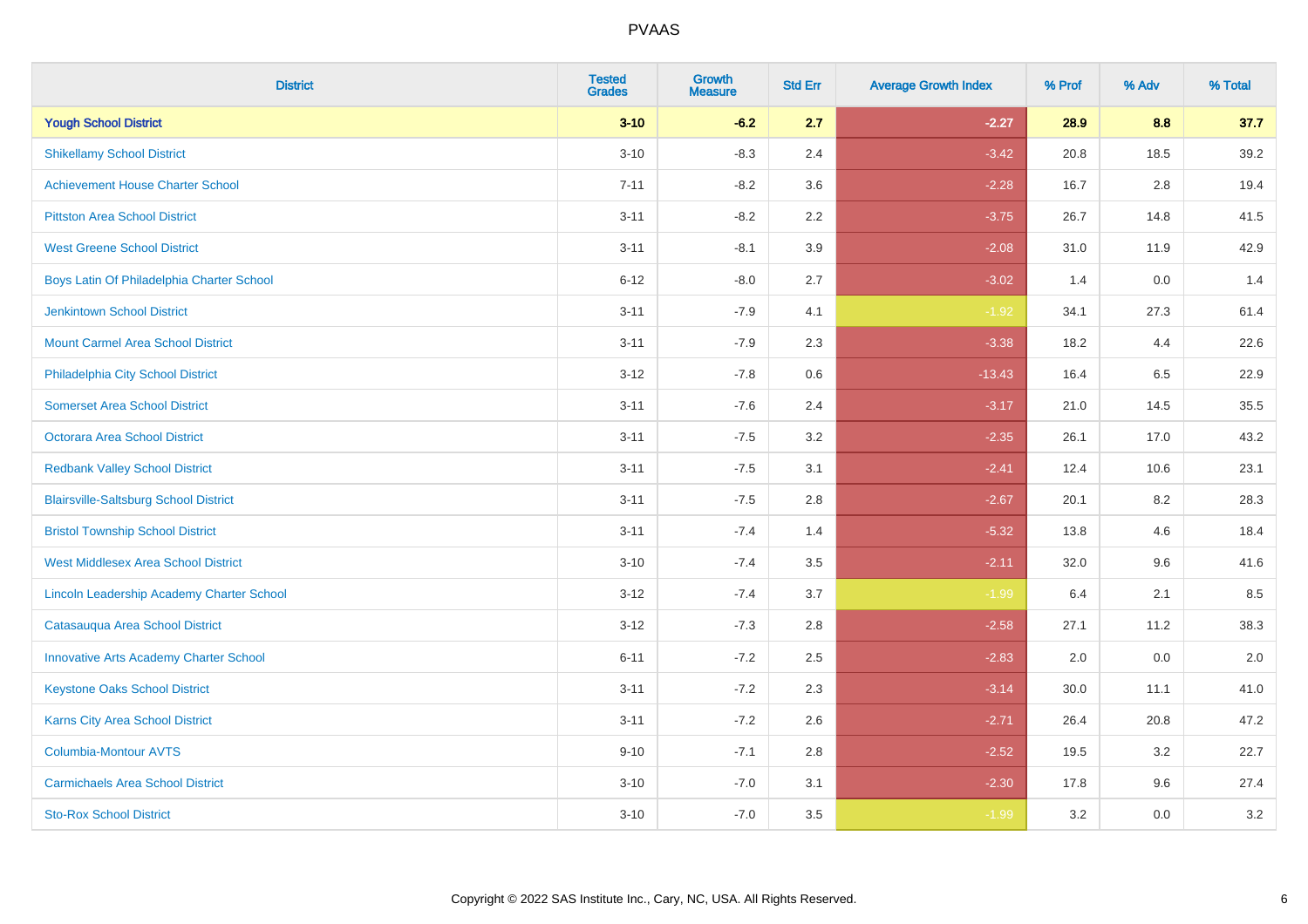| <b>District</b>                               | <b>Tested</b><br><b>Grades</b> | <b>Growth</b><br><b>Measure</b> | <b>Std Err</b> | <b>Average Growth Index</b> | % Prof | % Adv | % Total |
|-----------------------------------------------|--------------------------------|---------------------------------|----------------|-----------------------------|--------|-------|---------|
| <b>Yough School District</b>                  | $3 - 10$                       | $-6.2$                          | 2.7            | $-2.27$                     | 28.9   | 8.8   | 37.7    |
| <b>Shikellamy School District</b>             | $3 - 10$                       | $-8.3$                          | 2.4            | $-3.42$                     | 20.8   | 18.5  | 39.2    |
| <b>Achievement House Charter School</b>       | $7 - 11$                       | $-8.2$                          | 3.6            | $-2.28$                     | 16.7   | 2.8   | 19.4    |
| <b>Pittston Area School District</b>          | $3 - 11$                       | $-8.2$                          | 2.2            | $-3.75$                     | 26.7   | 14.8  | 41.5    |
| <b>West Greene School District</b>            | $3 - 11$                       | $-8.1$                          | 3.9            | $-2.08$                     | 31.0   | 11.9  | 42.9    |
| Boys Latin Of Philadelphia Charter School     | $6 - 12$                       | $-8.0$                          | 2.7            | $-3.02$                     | 1.4    | 0.0   | 1.4     |
| <b>Jenkintown School District</b>             | $3 - 11$                       | $-7.9$                          | 4.1            | $-1.92$                     | 34.1   | 27.3  | 61.4    |
| <b>Mount Carmel Area School District</b>      | $3 - 11$                       | $-7.9$                          | 2.3            | $-3.38$                     | 18.2   | 4.4   | 22.6    |
| Philadelphia City School District             | $3 - 12$                       | $-7.8$                          | 0.6            | $-13.43$                    | 16.4   | 6.5   | 22.9    |
| <b>Somerset Area School District</b>          | $3 - 11$                       | $-7.6$                          | 2.4            | $-3.17$                     | 21.0   | 14.5  | 35.5    |
| Octorara Area School District                 | $3 - 11$                       | $-7.5$                          | 3.2            | $-2.35$                     | 26.1   | 17.0  | 43.2    |
| <b>Redbank Valley School District</b>         | $3 - 11$                       | $-7.5$                          | 3.1            | $-2.41$                     | 12.4   | 10.6  | 23.1    |
| <b>Blairsville-Saltsburg School District</b>  | $3 - 11$                       | $-7.5$                          | 2.8            | $-2.67$                     | 20.1   | 8.2   | 28.3    |
| <b>Bristol Township School District</b>       | $3 - 11$                       | $-7.4$                          | 1.4            | $-5.32$                     | 13.8   | 4.6   | 18.4    |
| <b>West Middlesex Area School District</b>    | $3 - 10$                       | $-7.4$                          | 3.5            | $-2.11$                     | 32.0   | 9.6   | 41.6    |
| Lincoln Leadership Academy Charter School     | $3 - 12$                       | $-7.4$                          | 3.7            | $-1.99$                     | 6.4    | 2.1   | 8.5     |
| Catasauqua Area School District               | $3 - 12$                       | $-7.3$                          | 2.8            | $-2.58$                     | 27.1   | 11.2  | 38.3    |
| <b>Innovative Arts Academy Charter School</b> | $6 - 11$                       | $-7.2$                          | 2.5            | $-2.83$                     | 2.0    | 0.0   | 2.0     |
| <b>Keystone Oaks School District</b>          | $3 - 11$                       | $-7.2$                          | 2.3            | $-3.14$                     | 30.0   | 11.1  | 41.0    |
| Karns City Area School District               | $3 - 11$                       | $-7.2$                          | 2.6            | $-2.71$                     | 26.4   | 20.8  | 47.2    |
| Columbia-Montour AVTS                         | $9 - 10$                       | $-7.1$                          | 2.8            | $-2.52$                     | 19.5   | 3.2   | 22.7    |
| <b>Carmichaels Area School District</b>       | $3 - 10$                       | $-7.0$                          | 3.1            | $-2.30$                     | 17.8   | 9.6   | 27.4    |
| <b>Sto-Rox School District</b>                | $3 - 10$                       | $-7.0$                          | 3.5            | $-1.99$                     | 3.2    | 0.0   | 3.2     |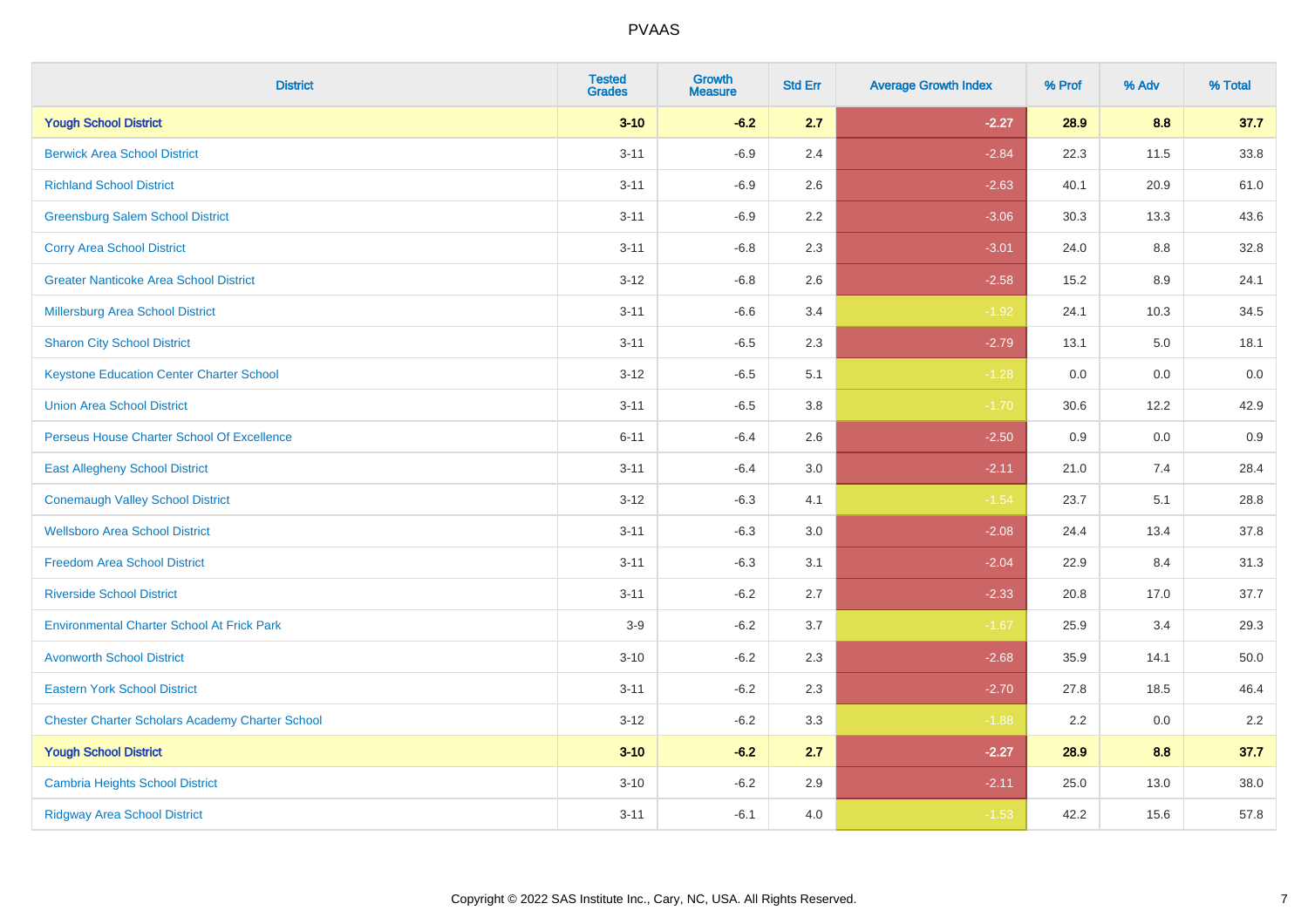| <b>District</b>                                        | <b>Tested</b><br><b>Grades</b> | <b>Growth</b><br><b>Measure</b> | <b>Std Err</b> | <b>Average Growth Index</b> | % Prof | % Adv | % Total |
|--------------------------------------------------------|--------------------------------|---------------------------------|----------------|-----------------------------|--------|-------|---------|
| <b>Yough School District</b>                           | $3 - 10$                       | $-6.2$                          | 2.7            | $-2.27$                     | 28.9   | 8.8   | 37.7    |
| <b>Berwick Area School District</b>                    | $3 - 11$                       | $-6.9$                          | 2.4            | $-2.84$                     | 22.3   | 11.5  | 33.8    |
| <b>Richland School District</b>                        | $3 - 11$                       | $-6.9$                          | 2.6            | $-2.63$                     | 40.1   | 20.9  | 61.0    |
| <b>Greensburg Salem School District</b>                | $3 - 11$                       | $-6.9$                          | $2.2\,$        | $-3.06$                     | 30.3   | 13.3  | 43.6    |
| <b>Corry Area School District</b>                      | $3 - 11$                       | $-6.8$                          | 2.3            | $-3.01$                     | 24.0   | 8.8   | 32.8    |
| <b>Greater Nanticoke Area School District</b>          | $3 - 12$                       | $-6.8$                          | 2.6            | $-2.58$                     | 15.2   | 8.9   | 24.1    |
| <b>Millersburg Area School District</b>                | $3 - 11$                       | $-6.6$                          | 3.4            | $-1.92$                     | 24.1   | 10.3  | 34.5    |
| <b>Sharon City School District</b>                     | $3 - 11$                       | $-6.5$                          | 2.3            | $-2.79$                     | 13.1   | 5.0   | 18.1    |
| <b>Keystone Education Center Charter School</b>        | $3 - 12$                       | $-6.5$                          | 5.1            | $-1.28$                     | 0.0    | 0.0   | 0.0     |
| <b>Union Area School District</b>                      | $3 - 11$                       | $-6.5$                          | 3.8            | $-1.70$                     | 30.6   | 12.2  | 42.9    |
| Perseus House Charter School Of Excellence             | $6 - 11$                       | $-6.4$                          | 2.6            | $-2.50$                     | 0.9    | 0.0   | 0.9     |
| <b>East Allegheny School District</b>                  | $3 - 11$                       | $-6.4$                          | 3.0            | $-2.11$                     | 21.0   | 7.4   | 28.4    |
| <b>Conemaugh Valley School District</b>                | $3 - 12$                       | $-6.3$                          | 4.1            | $-1.54$                     | 23.7   | 5.1   | 28.8    |
| <b>Wellsboro Area School District</b>                  | $3 - 11$                       | $-6.3$                          | 3.0            | $-2.08$                     | 24.4   | 13.4  | 37.8    |
| <b>Freedom Area School District</b>                    | $3 - 11$                       | $-6.3$                          | 3.1            | $-2.04$                     | 22.9   | 8.4   | 31.3    |
| <b>Riverside School District</b>                       | $3 - 11$                       | $-6.2$                          | 2.7            | $-2.33$                     | 20.8   | 17.0  | 37.7    |
| <b>Environmental Charter School At Frick Park</b>      | $3-9$                          | $-6.2$                          | 3.7            | $-1.67$                     | 25.9   | 3.4   | 29.3    |
| <b>Avonworth School District</b>                       | $3 - 10$                       | $-6.2$                          | 2.3            | $-2.68$                     | 35.9   | 14.1  | 50.0    |
| <b>Eastern York School District</b>                    | $3 - 11$                       | $-6.2$                          | 2.3            | $-2.70$                     | 27.8   | 18.5  | 46.4    |
| <b>Chester Charter Scholars Academy Charter School</b> | $3 - 12$                       | $-6.2$                          | 3.3            | $-1.88$                     | 2.2    | 0.0   | 2.2     |
| <b>Yough School District</b>                           | $3 - 10$                       | $-6.2$                          | 2.7            | $-2.27$                     | 28.9   | 8.8   | 37.7    |
| <b>Cambria Heights School District</b>                 | $3 - 10$                       | $-6.2$                          | 2.9            | $-2.11$                     | 25.0   | 13.0  | 38.0    |
| <b>Ridgway Area School District</b>                    | $3 - 11$                       | $-6.1$                          | 4.0            | $-1.53$                     | 42.2   | 15.6  | 57.8    |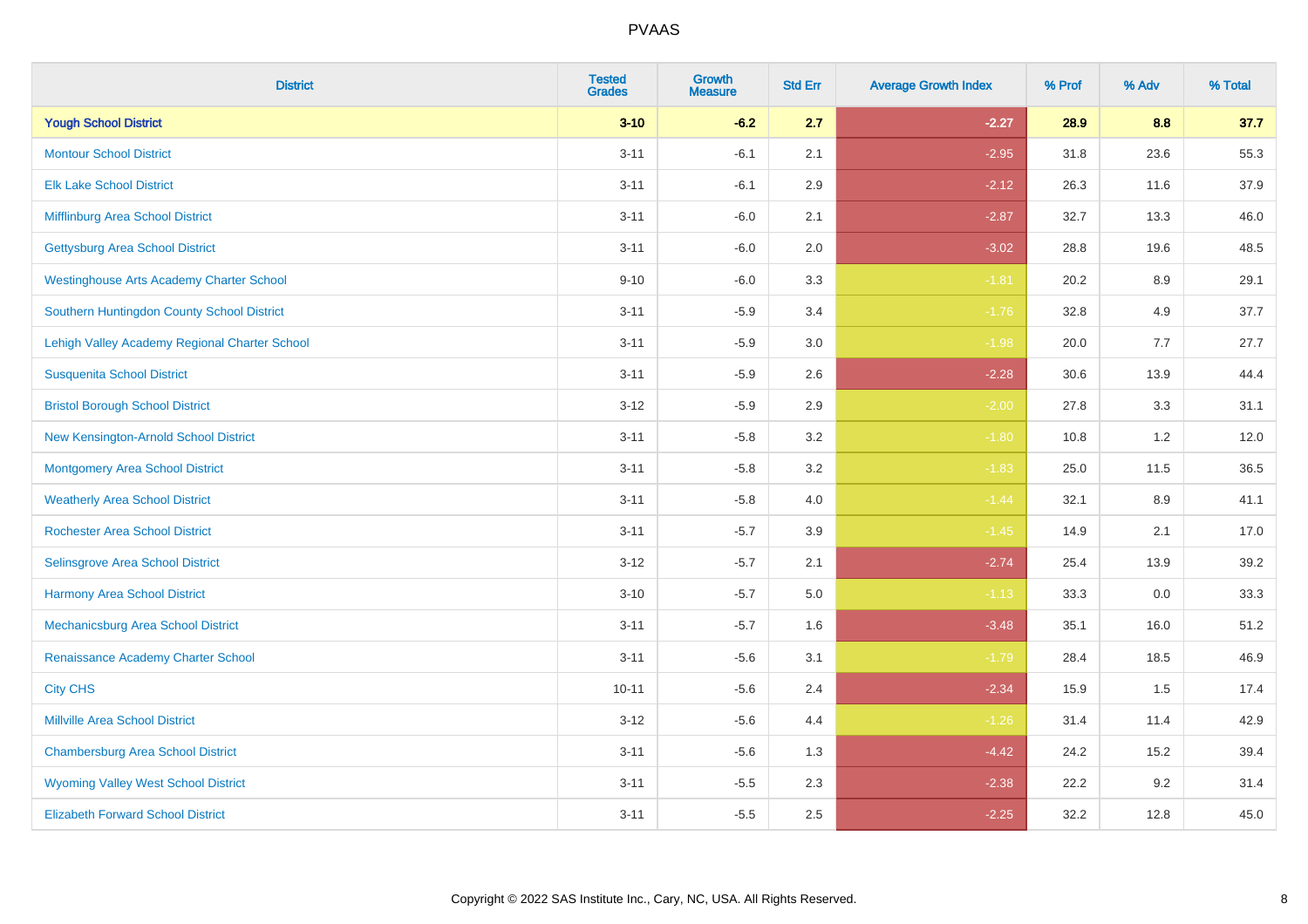| <b>District</b>                                 | <b>Tested</b><br><b>Grades</b> | <b>Growth</b><br><b>Measure</b> | <b>Std Err</b> | <b>Average Growth Index</b> | % Prof | % Adv   | % Total |
|-------------------------------------------------|--------------------------------|---------------------------------|----------------|-----------------------------|--------|---------|---------|
| <b>Yough School District</b>                    | $3 - 10$                       | $-6.2$                          | 2.7            | $-2.27$                     | 28.9   | 8.8     | 37.7    |
| <b>Montour School District</b>                  | $3 - 11$                       | $-6.1$                          | 2.1            | $-2.95$                     | 31.8   | 23.6    | 55.3    |
| <b>Elk Lake School District</b>                 | $3 - 11$                       | $-6.1$                          | 2.9            | $-2.12$                     | 26.3   | 11.6    | 37.9    |
| Mifflinburg Area School District                | $3 - 11$                       | $-6.0$                          | 2.1            | $-2.87$                     | 32.7   | 13.3    | 46.0    |
| <b>Gettysburg Area School District</b>          | $3 - 11$                       | $-6.0$                          | 2.0            | $-3.02$                     | 28.8   | 19.6    | 48.5    |
| <b>Westinghouse Arts Academy Charter School</b> | $9 - 10$                       | $-6.0$                          | 3.3            | $-1.81$                     | 20.2   | 8.9     | 29.1    |
| Southern Huntingdon County School District      | $3 - 11$                       | $-5.9$                          | 3.4            | $-1.76$                     | 32.8   | 4.9     | 37.7    |
| Lehigh Valley Academy Regional Charter School   | $3 - 11$                       | $-5.9$                          | 3.0            | $-1.98$                     | 20.0   | 7.7     | 27.7    |
| <b>Susquenita School District</b>               | $3 - 11$                       | $-5.9$                          | 2.6            | $-2.28$                     | 30.6   | 13.9    | 44.4    |
| <b>Bristol Borough School District</b>          | $3 - 12$                       | $-5.9$                          | 2.9            | $-2.00$                     | 27.8   | 3.3     | 31.1    |
| New Kensington-Arnold School District           | $3 - 11$                       | $-5.8$                          | 3.2            | $-1.80$                     | 10.8   | 1.2     | 12.0    |
| <b>Montgomery Area School District</b>          | $3 - 11$                       | $-5.8$                          | 3.2            | $-1.83$                     | 25.0   | 11.5    | 36.5    |
| <b>Weatherly Area School District</b>           | $3 - 11$                       | $-5.8$                          | $4.0\,$        | $-1.44$                     | 32.1   | $8.9\,$ | 41.1    |
| <b>Rochester Area School District</b>           | $3 - 11$                       | $-5.7$                          | 3.9            | $-1.45$                     | 14.9   | 2.1     | 17.0    |
| Selinsgrove Area School District                | $3 - 12$                       | $-5.7$                          | 2.1            | $-2.74$                     | 25.4   | 13.9    | 39.2    |
| <b>Harmony Area School District</b>             | $3 - 10$                       | $-5.7$                          | $5.0\,$        | $-1.13$                     | 33.3   | $0.0\,$ | 33.3    |
| <b>Mechanicsburg Area School District</b>       | $3 - 11$                       | $-5.7$                          | 1.6            | $-3.48$                     | 35.1   | 16.0    | 51.2    |
| Renaissance Academy Charter School              | $3 - 11$                       | $-5.6$                          | 3.1            | $-1.79$                     | 28.4   | 18.5    | 46.9    |
| <b>City CHS</b>                                 | $10 - 11$                      | $-5.6$                          | 2.4            | $-2.34$                     | 15.9   | 1.5     | 17.4    |
| <b>Millville Area School District</b>           | $3 - 12$                       | $-5.6$                          | 4.4            | $-1.26$                     | 31.4   | 11.4    | 42.9    |
| <b>Chambersburg Area School District</b>        | $3 - 11$                       | $-5.6$                          | 1.3            | $-4.42$                     | 24.2   | 15.2    | 39.4    |
| <b>Wyoming Valley West School District</b>      | $3 - 11$                       | $-5.5$                          | 2.3            | $-2.38$                     | 22.2   | 9.2     | 31.4    |
| <b>Elizabeth Forward School District</b>        | $3 - 11$                       | $-5.5$                          | 2.5            | $-2.25$                     | 32.2   | 12.8    | 45.0    |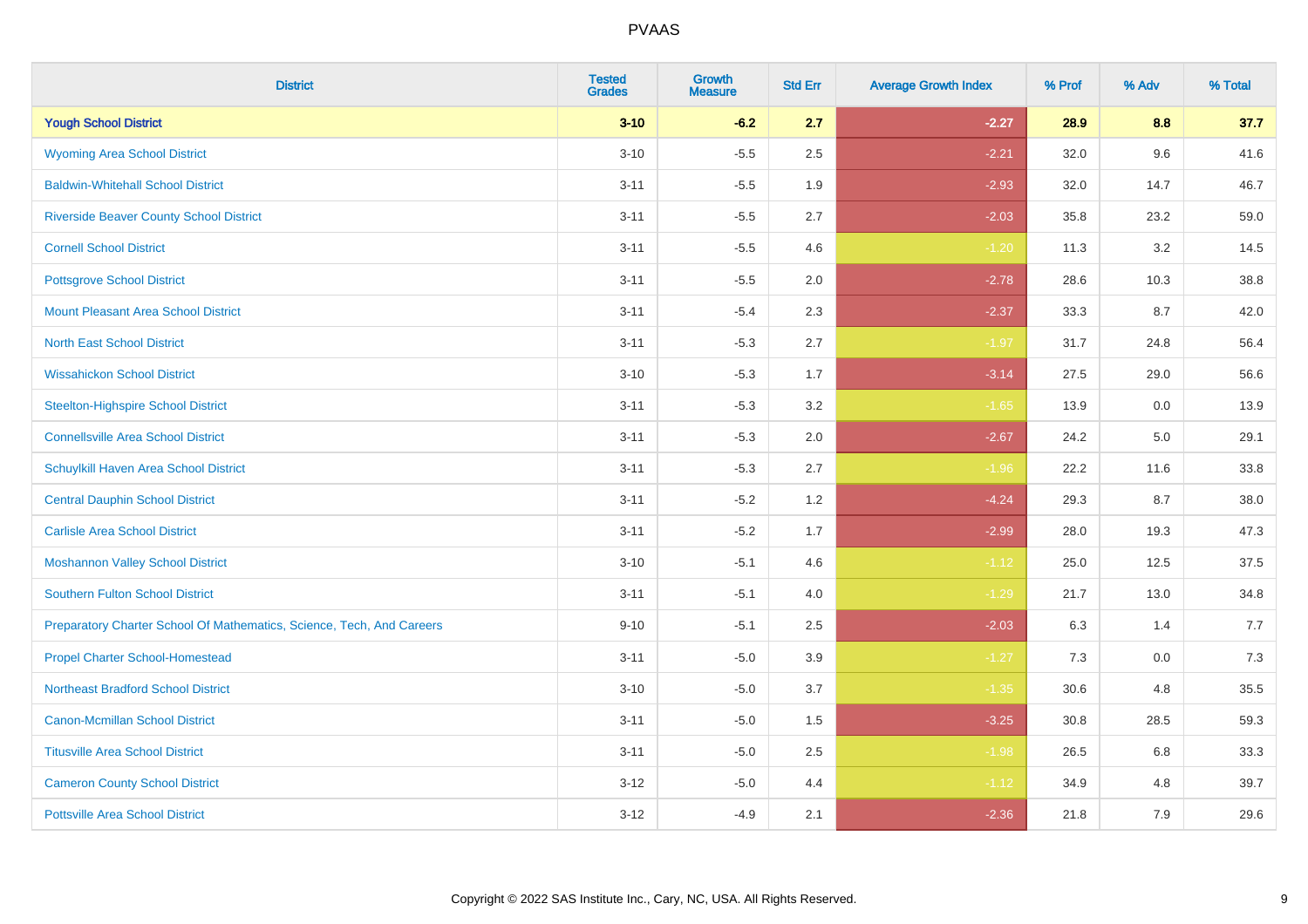| <b>District</b>                                                       | <b>Tested</b><br><b>Grades</b> | <b>Growth</b><br><b>Measure</b> | <b>Std Err</b> | <b>Average Growth Index</b> | % Prof | % Adv | % Total |
|-----------------------------------------------------------------------|--------------------------------|---------------------------------|----------------|-----------------------------|--------|-------|---------|
| <b>Yough School District</b>                                          | $3 - 10$                       | $-6.2$                          | 2.7            | $-2.27$                     | 28.9   | 8.8   | 37.7    |
| <b>Wyoming Area School District</b>                                   | $3 - 10$                       | $-5.5$                          | 2.5            | $-2.21$                     | 32.0   | 9.6   | 41.6    |
| <b>Baldwin-Whitehall School District</b>                              | $3 - 11$                       | $-5.5$                          | 1.9            | $-2.93$                     | 32.0   | 14.7  | 46.7    |
| <b>Riverside Beaver County School District</b>                        | $3 - 11$                       | $-5.5$                          | 2.7            | $-2.03$                     | 35.8   | 23.2  | 59.0    |
| <b>Cornell School District</b>                                        | $3 - 11$                       | $-5.5$                          | 4.6            | $-1.20$                     | 11.3   | 3.2   | 14.5    |
| <b>Pottsgrove School District</b>                                     | $3 - 11$                       | $-5.5$                          | 2.0            | $-2.78$                     | 28.6   | 10.3  | 38.8    |
| <b>Mount Pleasant Area School District</b>                            | $3 - 11$                       | $-5.4$                          | 2.3            | $-2.37$                     | 33.3   | 8.7   | 42.0    |
| <b>North East School District</b>                                     | $3 - 11$                       | $-5.3$                          | 2.7            | $-1.97$                     | 31.7   | 24.8  | 56.4    |
| <b>Wissahickon School District</b>                                    | $3 - 10$                       | $-5.3$                          | 1.7            | $-3.14$                     | 27.5   | 29.0  | 56.6    |
| <b>Steelton-Highspire School District</b>                             | $3 - 11$                       | $-5.3$                          | 3.2            | $-1.65$                     | 13.9   | 0.0   | 13.9    |
| <b>Connellsville Area School District</b>                             | $3 - 11$                       | $-5.3$                          | 2.0            | $-2.67$                     | 24.2   | 5.0   | 29.1    |
| <b>Schuylkill Haven Area School District</b>                          | $3 - 11$                       | $-5.3$                          | 2.7            | $-1.96$                     | 22.2   | 11.6  | 33.8    |
| <b>Central Dauphin School District</b>                                | $3 - 11$                       | $-5.2$                          | 1.2            | $-4.24$                     | 29.3   | 8.7   | 38.0    |
| <b>Carlisle Area School District</b>                                  | $3 - 11$                       | $-5.2$                          | 1.7            | $-2.99$                     | 28.0   | 19.3  | 47.3    |
| <b>Moshannon Valley School District</b>                               | $3 - 10$                       | $-5.1$                          | 4.6            | $-1.12$                     | 25.0   | 12.5  | 37.5    |
| <b>Southern Fulton School District</b>                                | $3 - 11$                       | $-5.1$                          | 4.0            | $-1.29$                     | 21.7   | 13.0  | 34.8    |
| Preparatory Charter School Of Mathematics, Science, Tech, And Careers | $9 - 10$                       | $-5.1$                          | 2.5            | $-2.03$                     | 6.3    | 1.4   | 7.7     |
| <b>Propel Charter School-Homestead</b>                                | $3 - 11$                       | $-5.0$                          | 3.9            | $-1.27$                     | 7.3    | 0.0   | 7.3     |
| <b>Northeast Bradford School District</b>                             | $3 - 10$                       | $-5.0$                          | 3.7            | $-1.35$                     | 30.6   | 4.8   | 35.5    |
| <b>Canon-Mcmillan School District</b>                                 | $3 - 11$                       | $-5.0$                          | 1.5            | $-3.25$                     | 30.8   | 28.5  | 59.3    |
| <b>Titusville Area School District</b>                                | $3 - 11$                       | $-5.0$                          | 2.5            | $-1.98$                     | 26.5   | 6.8   | 33.3    |
| <b>Cameron County School District</b>                                 | $3 - 12$                       | $-5.0$                          | 4.4            | $-1.12$                     | 34.9   | 4.8   | 39.7    |
| <b>Pottsville Area School District</b>                                | $3 - 12$                       | $-4.9$                          | 2.1            | $-2.36$                     | 21.8   | 7.9   | 29.6    |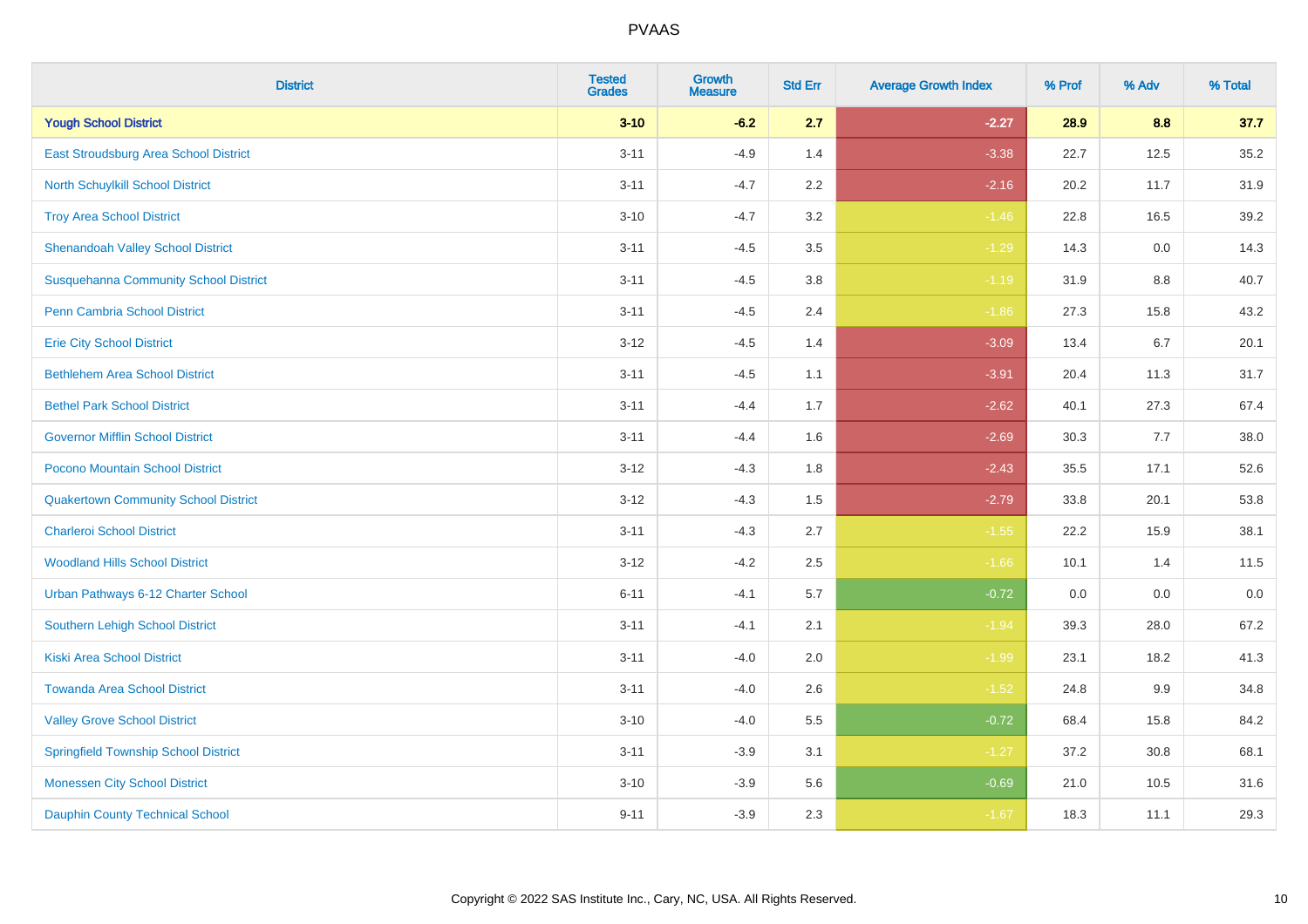| <b>District</b>                              | <b>Tested</b><br><b>Grades</b> | <b>Growth</b><br><b>Measure</b> | <b>Std Err</b> | <b>Average Growth Index</b> | % Prof | % Adv   | % Total |
|----------------------------------------------|--------------------------------|---------------------------------|----------------|-----------------------------|--------|---------|---------|
| <b>Yough School District</b>                 | $3 - 10$                       | $-6.2$                          | 2.7            | $-2.27$                     | 28.9   | 8.8     | 37.7    |
| <b>East Stroudsburg Area School District</b> | $3 - 11$                       | $-4.9$                          | 1.4            | $-3.38$                     | 22.7   | 12.5    | 35.2    |
| <b>North Schuylkill School District</b>      | $3 - 11$                       | $-4.7$                          | 2.2            | $-2.16$                     | 20.2   | 11.7    | 31.9    |
| <b>Troy Area School District</b>             | $3 - 10$                       | $-4.7$                          | 3.2            | $-1.46$                     | 22.8   | 16.5    | 39.2    |
| <b>Shenandoah Valley School District</b>     | $3 - 11$                       | $-4.5$                          | 3.5            | $-1.29$                     | 14.3   | 0.0     | 14.3    |
| <b>Susquehanna Community School District</b> | $3 - 11$                       | $-4.5$                          | 3.8            | $-1.19$                     | 31.9   | 8.8     | 40.7    |
| <b>Penn Cambria School District</b>          | $3 - 11$                       | $-4.5$                          | 2.4            | $-1.86$                     | 27.3   | 15.8    | 43.2    |
| <b>Erie City School District</b>             | $3 - 12$                       | $-4.5$                          | 1.4            | $-3.09$                     | 13.4   | 6.7     | 20.1    |
| <b>Bethlehem Area School District</b>        | $3 - 11$                       | $-4.5$                          | 1.1            | $-3.91$                     | 20.4   | 11.3    | 31.7    |
| <b>Bethel Park School District</b>           | $3 - 11$                       | $-4.4$                          | 1.7            | $-2.62$                     | 40.1   | 27.3    | 67.4    |
| <b>Governor Mifflin School District</b>      | $3 - 11$                       | $-4.4$                          | 1.6            | $-2.69$                     | 30.3   | 7.7     | 38.0    |
| Pocono Mountain School District              | $3 - 12$                       | $-4.3$                          | 1.8            | $-2.43$                     | 35.5   | 17.1    | 52.6    |
| <b>Quakertown Community School District</b>  | $3 - 12$                       | $-4.3$                          | $1.5$          | $-2.79$                     | 33.8   | 20.1    | 53.8    |
| <b>Charleroi School District</b>             | $3 - 11$                       | $-4.3$                          | 2.7            | $-1.55$                     | 22.2   | 15.9    | 38.1    |
| <b>Woodland Hills School District</b>        | $3 - 12$                       | $-4.2$                          | 2.5            | $-1.66$                     | 10.1   | 1.4     | 11.5    |
| Urban Pathways 6-12 Charter School           | $6 - 11$                       | $-4.1$                          | 5.7            | $-0.72$                     | 0.0    | $0.0\,$ | $0.0\,$ |
| <b>Southern Lehigh School District</b>       | $3 - 11$                       | $-4.1$                          | 2.1            | $-1.94$                     | 39.3   | 28.0    | 67.2    |
| <b>Kiski Area School District</b>            | $3 - 11$                       | $-4.0$                          | 2.0            | $-1.99$                     | 23.1   | 18.2    | 41.3    |
| <b>Towanda Area School District</b>          | $3 - 11$                       | $-4.0$                          | 2.6            | $-1.52$                     | 24.8   | 9.9     | 34.8    |
| <b>Valley Grove School District</b>          | $3 - 10$                       | $-4.0$                          | 5.5            | $-0.72$                     | 68.4   | 15.8    | 84.2    |
| <b>Springfield Township School District</b>  | $3 - 11$                       | $-3.9$                          | 3.1            | $-1.27$                     | 37.2   | 30.8    | 68.1    |
| <b>Monessen City School District</b>         | $3 - 10$                       | $-3.9$                          | 5.6            | $-0.69$                     | 21.0   | 10.5    | 31.6    |
| <b>Dauphin County Technical School</b>       | $9 - 11$                       | $-3.9$                          | 2.3            | $-1.67$                     | 18.3   | 11.1    | 29.3    |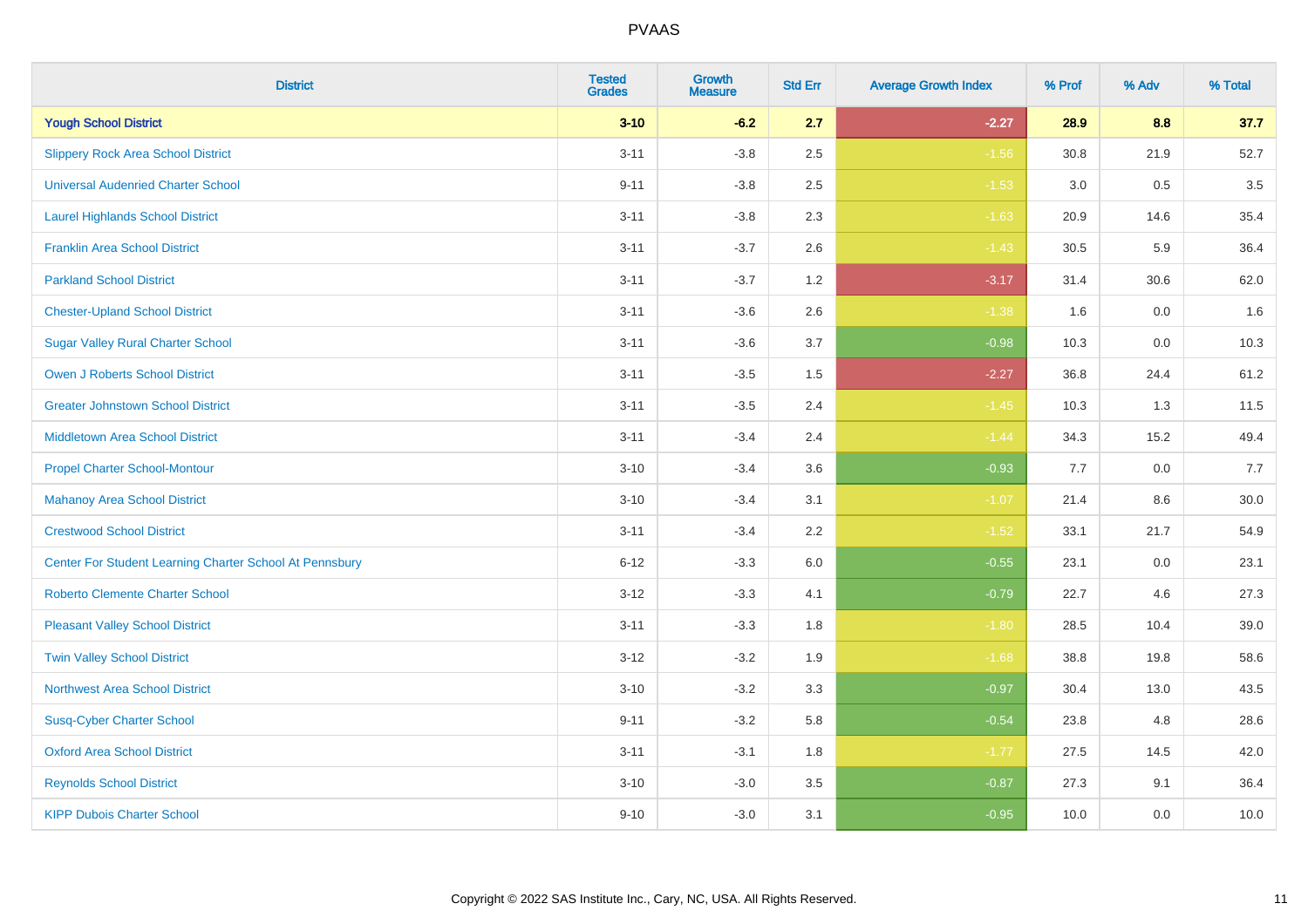| <b>District</b>                                         | <b>Tested</b><br><b>Grades</b> | <b>Growth</b><br><b>Measure</b> | <b>Std Err</b> | <b>Average Growth Index</b> | % Prof | % Adv   | % Total |
|---------------------------------------------------------|--------------------------------|---------------------------------|----------------|-----------------------------|--------|---------|---------|
| <b>Yough School District</b>                            | $3 - 10$                       | $-6.2$                          | 2.7            | $-2.27$                     | 28.9   | 8.8     | 37.7    |
| <b>Slippery Rock Area School District</b>               | $3 - 11$                       | $-3.8$                          | 2.5            | $-1.56$                     | 30.8   | 21.9    | 52.7    |
| <b>Universal Audenried Charter School</b>               | $9 - 11$                       | $-3.8$                          | 2.5            | $-1.53$                     | 3.0    | 0.5     | 3.5     |
| <b>Laurel Highlands School District</b>                 | $3 - 11$                       | $-3.8$                          | 2.3            | $-1.63$                     | 20.9   | 14.6    | 35.4    |
| <b>Franklin Area School District</b>                    | $3 - 11$                       | $-3.7$                          | 2.6            | $-1.43$                     | 30.5   | 5.9     | 36.4    |
| <b>Parkland School District</b>                         | $3 - 11$                       | $-3.7$                          | 1.2            | $-3.17$                     | 31.4   | 30.6    | 62.0    |
| <b>Chester-Upland School District</b>                   | $3 - 11$                       | $-3.6$                          | 2.6            | $-1.38$                     | 1.6    | $0.0\,$ | 1.6     |
| <b>Sugar Valley Rural Charter School</b>                | $3 - 11$                       | $-3.6$                          | 3.7            | $-0.98$                     | 10.3   | 0.0     | 10.3    |
| <b>Owen J Roberts School District</b>                   | $3 - 11$                       | $-3.5$                          | 1.5            | $-2.27$                     | 36.8   | 24.4    | 61.2    |
| <b>Greater Johnstown School District</b>                | $3 - 11$                       | $-3.5$                          | 2.4            | $-1.45$                     | 10.3   | 1.3     | 11.5    |
| <b>Middletown Area School District</b>                  | $3 - 11$                       | $-3.4$                          | 2.4            | $-1.44$                     | 34.3   | 15.2    | 49.4    |
| <b>Propel Charter School-Montour</b>                    | $3 - 10$                       | $-3.4$                          | 3.6            | $-0.93$                     | 7.7    | 0.0     | 7.7     |
| <b>Mahanoy Area School District</b>                     | $3 - 10$                       | $-3.4$                          | 3.1            | $-1.07$                     | 21.4   | $8.6\,$ | 30.0    |
| <b>Crestwood School District</b>                        | $3 - 11$                       | $-3.4$                          | 2.2            | $-1.52$                     | 33.1   | 21.7    | 54.9    |
| Center For Student Learning Charter School At Pennsbury | $6 - 12$                       | $-3.3$                          | 6.0            | $-0.55$                     | 23.1   | 0.0     | 23.1    |
| <b>Roberto Clemente Charter School</b>                  | $3 - 12$                       | $-3.3$                          | 4.1            | $-0.79$                     | 22.7   | 4.6     | 27.3    |
| <b>Pleasant Valley School District</b>                  | $3 - 11$                       | $-3.3$                          | 1.8            | $-1.80$                     | 28.5   | 10.4    | 39.0    |
| <b>Twin Valley School District</b>                      | $3 - 12$                       | $-3.2$                          | 1.9            | $-1.68$                     | 38.8   | 19.8    | 58.6    |
| <b>Northwest Area School District</b>                   | $3 - 10$                       | $-3.2$                          | 3.3            | $-0.97$                     | 30.4   | 13.0    | 43.5    |
| <b>Susq-Cyber Charter School</b>                        | $9 - 11$                       | $-3.2$                          | 5.8            | $-0.54$                     | 23.8   | 4.8     | 28.6    |
| <b>Oxford Area School District</b>                      | $3 - 11$                       | $-3.1$                          | 1.8            | $-1.77$                     | 27.5   | 14.5    | 42.0    |
| <b>Reynolds School District</b>                         | $3 - 10$                       | $-3.0$                          | 3.5            | $-0.87$                     | 27.3   | 9.1     | 36.4    |
| <b>KIPP Dubois Charter School</b>                       | $9 - 10$                       | $-3.0$                          | 3.1            | $-0.95$                     | 10.0   | 0.0     | 10.0    |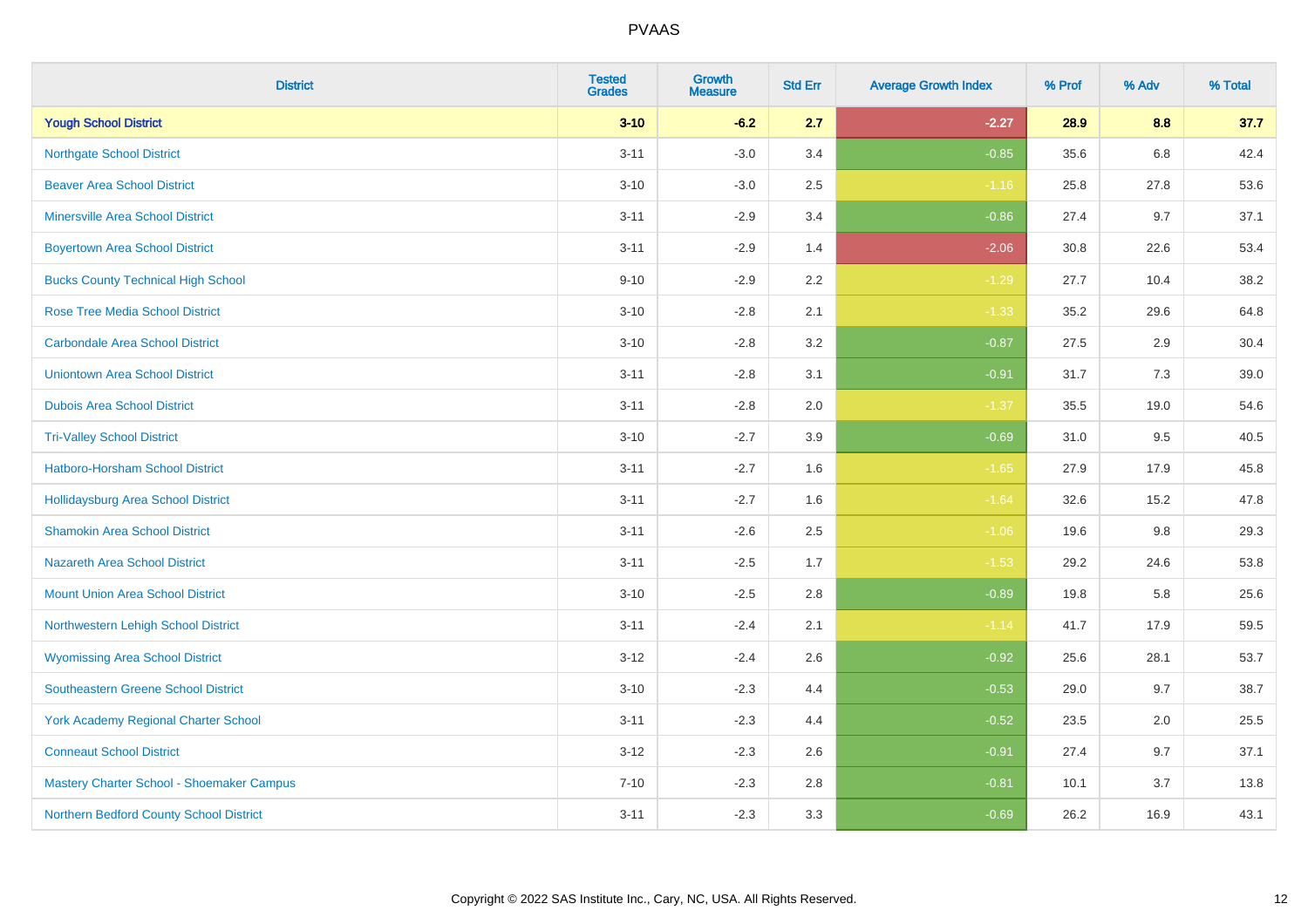| <b>District</b>                             | <b>Tested</b><br><b>Grades</b> | <b>Growth</b><br><b>Measure</b> | <b>Std Err</b> | <b>Average Growth Index</b> | % Prof | % Adv | % Total |
|---------------------------------------------|--------------------------------|---------------------------------|----------------|-----------------------------|--------|-------|---------|
| <b>Yough School District</b>                | $3 - 10$                       | $-6.2$                          | 2.7            | $-2.27$                     | 28.9   | 8.8   | 37.7    |
| <b>Northgate School District</b>            | $3 - 11$                       | $-3.0$                          | 3.4            | $-0.85$                     | 35.6   | 6.8   | 42.4    |
| <b>Beaver Area School District</b>          | $3 - 10$                       | $-3.0$                          | 2.5            | $-1.16$                     | 25.8   | 27.8  | 53.6    |
| <b>Minersville Area School District</b>     | $3 - 11$                       | $-2.9$                          | 3.4            | $-0.86$                     | 27.4   | 9.7   | 37.1    |
| <b>Boyertown Area School District</b>       | $3 - 11$                       | $-2.9$                          | 1.4            | $-2.06$                     | 30.8   | 22.6  | 53.4    |
| <b>Bucks County Technical High School</b>   | $9 - 10$                       | $-2.9$                          | 2.2            | $-1.29$                     | 27.7   | 10.4  | 38.2    |
| <b>Rose Tree Media School District</b>      | $3 - 10$                       | $-2.8$                          | 2.1            | $-1.33$                     | 35.2   | 29.6  | 64.8    |
| <b>Carbondale Area School District</b>      | $3 - 10$                       | $-2.8$                          | 3.2            | $-0.87$                     | 27.5   | 2.9   | 30.4    |
| <b>Uniontown Area School District</b>       | $3 - 11$                       | $-2.8$                          | 3.1            | $-0.91$                     | 31.7   | 7.3   | 39.0    |
| <b>Dubois Area School District</b>          | $3 - 11$                       | $-2.8$                          | 2.0            | $-1.37$                     | 35.5   | 19.0  | 54.6    |
| <b>Tri-Valley School District</b>           | $3 - 10$                       | $-2.7$                          | 3.9            | $-0.69$                     | 31.0   | 9.5   | 40.5    |
| Hatboro-Horsham School District             | $3 - 11$                       | $-2.7$                          | 1.6            | $-1.65$                     | 27.9   | 17.9  | 45.8    |
| Hollidaysburg Area School District          | $3 - 11$                       | $-2.7$                          | 1.6            | $-1.64$                     | 32.6   | 15.2  | 47.8    |
| <b>Shamokin Area School District</b>        | $3 - 11$                       | $-2.6$                          | 2.5            | $-1.06$                     | 19.6   | 9.8   | 29.3    |
| <b>Nazareth Area School District</b>        | $3 - 11$                       | $-2.5$                          | 1.7            | $-1.53$                     | 29.2   | 24.6  | 53.8    |
| <b>Mount Union Area School District</b>     | $3 - 10$                       | $-2.5$                          | 2.8            | $-0.89$                     | 19.8   | 5.8   | 25.6    |
| Northwestern Lehigh School District         | $3 - 11$                       | $-2.4$                          | 2.1            | $-1.14$                     | 41.7   | 17.9  | 59.5    |
| <b>Wyomissing Area School District</b>      | $3-12$                         | $-2.4$                          | 2.6            | $-0.92$                     | 25.6   | 28.1  | 53.7    |
| <b>Southeastern Greene School District</b>  | $3 - 10$                       | $-2.3$                          | 4.4            | $-0.53$                     | 29.0   | 9.7   | 38.7    |
| <b>York Academy Regional Charter School</b> | $3 - 11$                       | $-2.3$                          | 4.4            | $-0.52$                     | 23.5   | 2.0   | 25.5    |
| <b>Conneaut School District</b>             | $3 - 12$                       | $-2.3$                          | 2.6            | $-0.91$                     | 27.4   | 9.7   | 37.1    |
| Mastery Charter School - Shoemaker Campus   | $7 - 10$                       | $-2.3$                          | 2.8            | $-0.81$                     | 10.1   | 3.7   | 13.8    |
| Northern Bedford County School District     | $3 - 11$                       | $-2.3$                          | 3.3            | $-0.69$                     | 26.2   | 16.9  | 43.1    |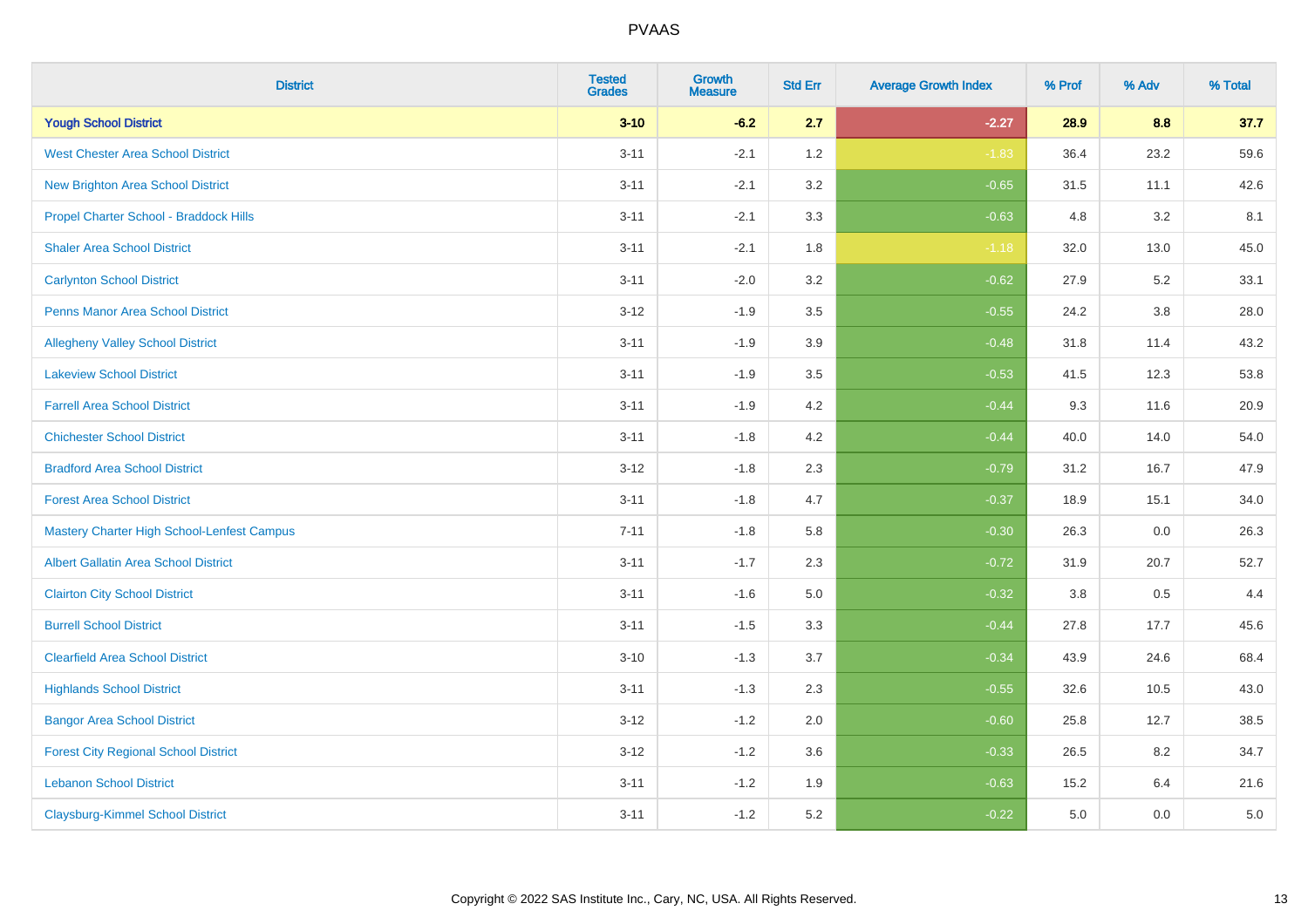| <b>District</b>                                   | <b>Tested</b><br><b>Grades</b> | <b>Growth</b><br><b>Measure</b> | <b>Std Err</b> | <b>Average Growth Index</b> | % Prof | % Adv   | % Total |
|---------------------------------------------------|--------------------------------|---------------------------------|----------------|-----------------------------|--------|---------|---------|
| <b>Yough School District</b>                      | $3 - 10$                       | $-6.2$                          | 2.7            | $-2.27$                     | 28.9   | 8.8     | 37.7    |
| <b>West Chester Area School District</b>          | $3 - 11$                       | $-2.1$                          | 1.2            | $-1.83$                     | 36.4   | 23.2    | 59.6    |
| <b>New Brighton Area School District</b>          | $3 - 11$                       | $-2.1$                          | 3.2            | $-0.65$                     | 31.5   | 11.1    | 42.6    |
| Propel Charter School - Braddock Hills            | $3 - 11$                       | $-2.1$                          | 3.3            | $-0.63$                     | 4.8    | 3.2     | 8.1     |
| <b>Shaler Area School District</b>                | $3 - 11$                       | $-2.1$                          | 1.8            | $-1.18$                     | 32.0   | 13.0    | 45.0    |
| <b>Carlynton School District</b>                  | $3 - 11$                       | $-2.0$                          | 3.2            | $-0.62$                     | 27.9   | 5.2     | 33.1    |
| <b>Penns Manor Area School District</b>           | $3 - 12$                       | $-1.9$                          | 3.5            | $-0.55$                     | 24.2   | $3.8\,$ | 28.0    |
| <b>Allegheny Valley School District</b>           | $3 - 11$                       | $-1.9$                          | 3.9            | $-0.48$                     | 31.8   | 11.4    | 43.2    |
| <b>Lakeview School District</b>                   | $3 - 11$                       | $-1.9$                          | 3.5            | $-0.53$                     | 41.5   | 12.3    | 53.8    |
| <b>Farrell Area School District</b>               | $3 - 11$                       | $-1.9$                          | 4.2            | $-0.44$                     | 9.3    | 11.6    | 20.9    |
| <b>Chichester School District</b>                 | $3 - 11$                       | $-1.8$                          | 4.2            | $-0.44$                     | 40.0   | 14.0    | 54.0    |
| <b>Bradford Area School District</b>              | $3 - 12$                       | $-1.8$                          | 2.3            | $-0.79$                     | 31.2   | 16.7    | 47.9    |
| <b>Forest Area School District</b>                | $3 - 11$                       | $-1.8$                          | 4.7            | $-0.37$                     | 18.9   | 15.1    | 34.0    |
| <b>Mastery Charter High School-Lenfest Campus</b> | $7 - 11$                       | $-1.8$                          | 5.8            | $-0.30$                     | 26.3   | 0.0     | 26.3    |
| <b>Albert Gallatin Area School District</b>       | $3 - 11$                       | $-1.7$                          | 2.3            | $-0.72$                     | 31.9   | 20.7    | 52.7    |
| <b>Clairton City School District</b>              | $3 - 11$                       | $-1.6$                          | 5.0            | $-0.32$                     | 3.8    | 0.5     | 4.4     |
| <b>Burrell School District</b>                    | $3 - 11$                       | $-1.5$                          | 3.3            | $-0.44$                     | 27.8   | 17.7    | 45.6    |
| <b>Clearfield Area School District</b>            | $3 - 10$                       | $-1.3$                          | 3.7            | $-0.34$                     | 43.9   | 24.6    | 68.4    |
| <b>Highlands School District</b>                  | $3 - 11$                       | $-1.3$                          | 2.3            | $-0.55$                     | 32.6   | 10.5    | 43.0    |
| <b>Bangor Area School District</b>                | $3 - 12$                       | $-1.2$                          | 2.0            | $-0.60$                     | 25.8   | 12.7    | 38.5    |
| <b>Forest City Regional School District</b>       | $3 - 12$                       | $-1.2$                          | 3.6            | $-0.33$                     | 26.5   | 8.2     | 34.7    |
| <b>Lebanon School District</b>                    | $3 - 11$                       | $-1.2$                          | 1.9            | $-0.63$                     | 15.2   | 6.4     | 21.6    |
| <b>Claysburg-Kimmel School District</b>           | $3 - 11$                       | $-1.2$                          | 5.2            | $-0.22$                     | 5.0    | 0.0     | 5.0     |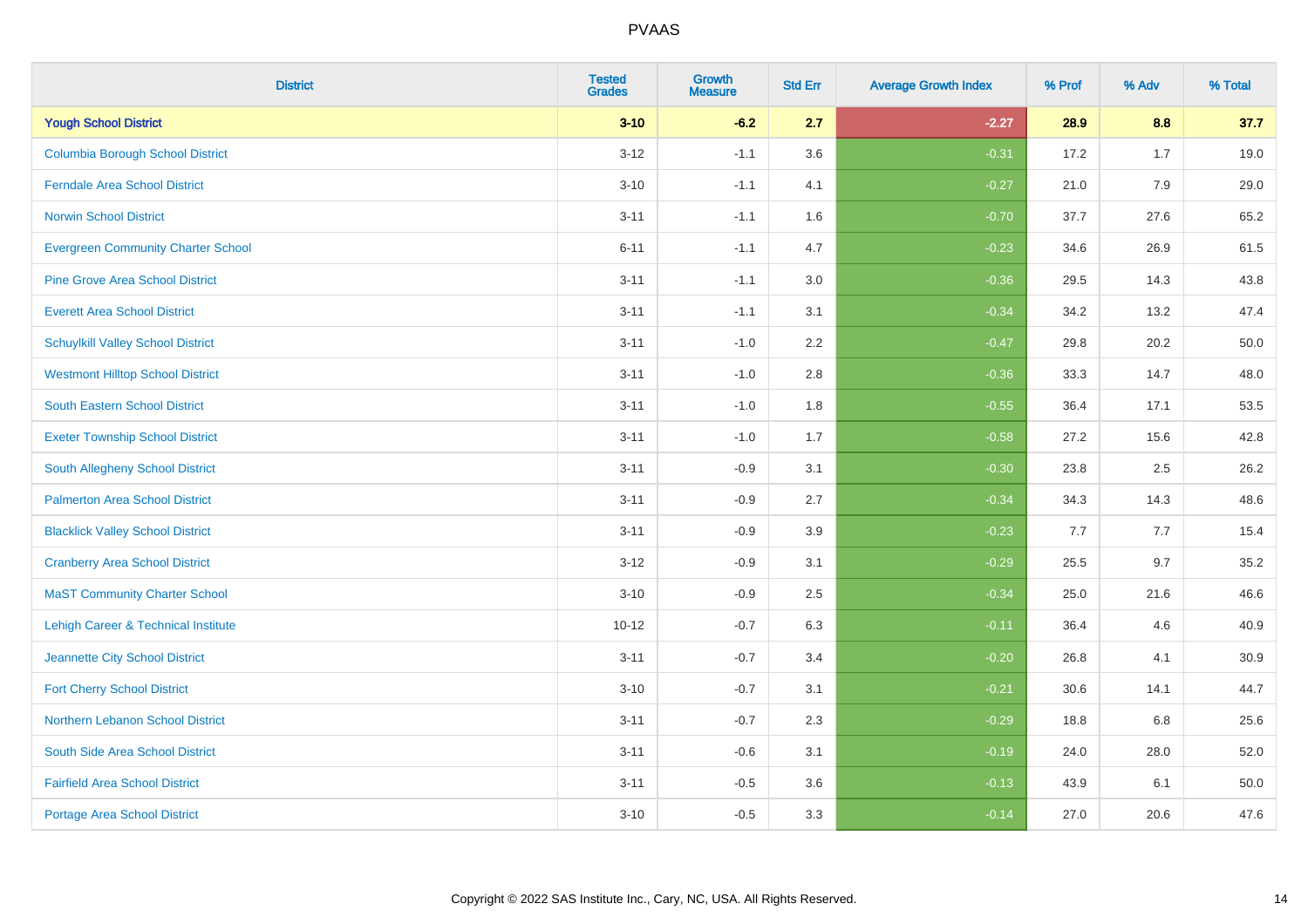| <b>District</b>                                | <b>Tested</b><br><b>Grades</b> | <b>Growth</b><br><b>Measure</b> | <b>Std Err</b> | <b>Average Growth Index</b> | % Prof | % Adv | % Total |
|------------------------------------------------|--------------------------------|---------------------------------|----------------|-----------------------------|--------|-------|---------|
| <b>Yough School District</b>                   | $3 - 10$                       | $-6.2$                          | 2.7            | $-2.27$                     | 28.9   | 8.8   | 37.7    |
| <b>Columbia Borough School District</b>        | $3 - 12$                       | $-1.1$                          | 3.6            | $-0.31$                     | 17.2   | 1.7   | 19.0    |
| <b>Ferndale Area School District</b>           | $3 - 10$                       | $-1.1$                          | 4.1            | $-0.27$                     | 21.0   | 7.9   | 29.0    |
| <b>Norwin School District</b>                  | $3 - 11$                       | $-1.1$                          | 1.6            | $-0.70$                     | 37.7   | 27.6  | 65.2    |
| <b>Evergreen Community Charter School</b>      | $6 - 11$                       | $-1.1$                          | 4.7            | $-0.23$                     | 34.6   | 26.9  | 61.5    |
| <b>Pine Grove Area School District</b>         | $3 - 11$                       | $-1.1$                          | 3.0            | $-0.36$                     | 29.5   | 14.3  | 43.8    |
| <b>Everett Area School District</b>            | $3 - 11$                       | $-1.1$                          | 3.1            | $-0.34$                     | 34.2   | 13.2  | 47.4    |
| <b>Schuylkill Valley School District</b>       | $3 - 11$                       | $-1.0$                          | 2.2            | $-0.47$                     | 29.8   | 20.2  | 50.0    |
| <b>Westmont Hilltop School District</b>        | $3 - 11$                       | $-1.0$                          | 2.8            | $-0.36$                     | 33.3   | 14.7  | 48.0    |
| <b>South Eastern School District</b>           | $3 - 11$                       | $-1.0$                          | 1.8            | $-0.55$                     | 36.4   | 17.1  | 53.5    |
| <b>Exeter Township School District</b>         | $3 - 11$                       | $-1.0$                          | 1.7            | $-0.58$                     | 27.2   | 15.6  | 42.8    |
| <b>South Allegheny School District</b>         | $3 - 11$                       | $-0.9$                          | 3.1            | $-0.30$                     | 23.8   | 2.5   | 26.2    |
| <b>Palmerton Area School District</b>          | $3 - 11$                       | $-0.9$                          | 2.7            | $-0.34$                     | 34.3   | 14.3  | 48.6    |
| <b>Blacklick Valley School District</b>        | $3 - 11$                       | $-0.9$                          | 3.9            | $-0.23$                     | 7.7    | 7.7   | 15.4    |
| <b>Cranberry Area School District</b>          | $3 - 12$                       | $-0.9$                          | 3.1            | $-0.29$                     | 25.5   | 9.7   | 35.2    |
| <b>MaST Community Charter School</b>           | $3 - 10$                       | $-0.9$                          | 2.5            | $-0.34$                     | 25.0   | 21.6  | 46.6    |
| <b>Lehigh Career &amp; Technical Institute</b> | $10 - 12$                      | $-0.7$                          | 6.3            | $-0.11$                     | 36.4   | 4.6   | 40.9    |
| Jeannette City School District                 | $3 - 11$                       | $-0.7$                          | 3.4            | $-0.20$                     | 26.8   | 4.1   | 30.9    |
| <b>Fort Cherry School District</b>             | $3 - 10$                       | $-0.7$                          | 3.1            | $-0.21$                     | 30.6   | 14.1  | 44.7    |
| Northern Lebanon School District               | $3 - 11$                       | $-0.7$                          | 2.3            | $-0.29$                     | 18.8   | 6.8   | 25.6    |
| South Side Area School District                | $3 - 11$                       | $-0.6$                          | 3.1            | $-0.19$                     | 24.0   | 28.0  | 52.0    |
| <b>Fairfield Area School District</b>          | $3 - 11$                       | $-0.5$                          | 3.6            | $-0.13$                     | 43.9   | 6.1   | 50.0    |
| <b>Portage Area School District</b>            | $3 - 10$                       | $-0.5$                          | 3.3            | $-0.14$                     | 27.0   | 20.6  | 47.6    |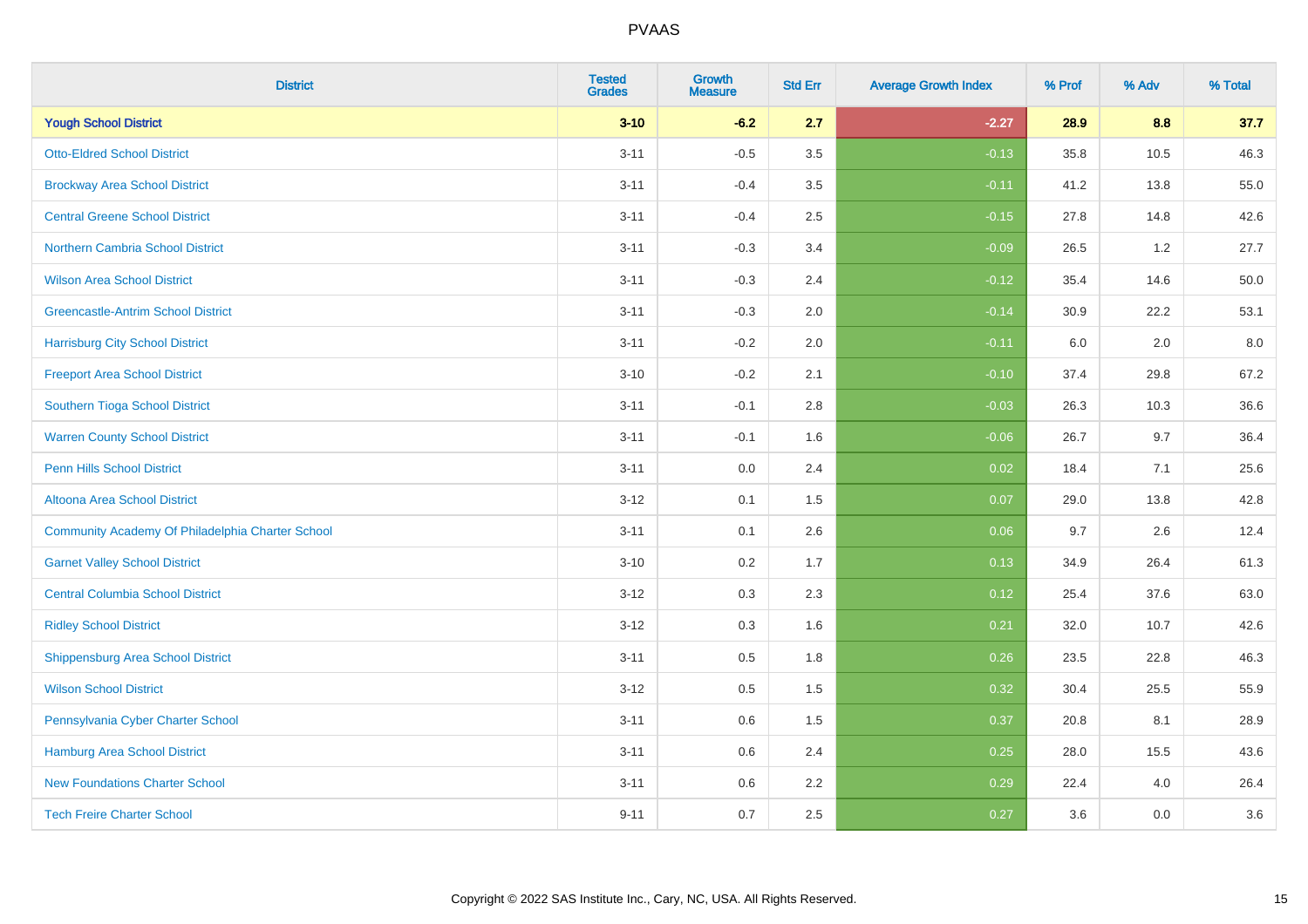| <b>District</b>                                  | <b>Tested</b><br><b>Grades</b> | <b>Growth</b><br><b>Measure</b> | <b>Std Err</b> | <b>Average Growth Index</b> | % Prof | % Adv | % Total |
|--------------------------------------------------|--------------------------------|---------------------------------|----------------|-----------------------------|--------|-------|---------|
| <b>Yough School District</b>                     | $3 - 10$                       | $-6.2$                          | 2.7            | $-2.27$                     | 28.9   | 8.8   | 37.7    |
| <b>Otto-Eldred School District</b>               | $3 - 11$                       | $-0.5$                          | 3.5            | $-0.13$                     | 35.8   | 10.5  | 46.3    |
| <b>Brockway Area School District</b>             | $3 - 11$                       | $-0.4$                          | 3.5            | $-0.11$                     | 41.2   | 13.8  | 55.0    |
| <b>Central Greene School District</b>            | $3 - 11$                       | $-0.4$                          | 2.5            | $-0.15$                     | 27.8   | 14.8  | 42.6    |
| <b>Northern Cambria School District</b>          | $3 - 11$                       | $-0.3$                          | 3.4            | $-0.09$                     | 26.5   | 1.2   | 27.7    |
| <b>Wilson Area School District</b>               | $3 - 11$                       | $-0.3$                          | 2.4            | $-0.12$                     | 35.4   | 14.6  | 50.0    |
| <b>Greencastle-Antrim School District</b>        | $3 - 11$                       | $-0.3$                          | 2.0            | $-0.14$                     | 30.9   | 22.2  | 53.1    |
| <b>Harrisburg City School District</b>           | $3 - 11$                       | $-0.2$                          | 2.0            | $-0.11$                     | 6.0    | 2.0   | 8.0     |
| <b>Freeport Area School District</b>             | $3 - 10$                       | $-0.2$                          | 2.1            | $-0.10$                     | 37.4   | 29.8  | 67.2    |
| Southern Tioga School District                   | $3 - 11$                       | $-0.1$                          | 2.8            | $-0.03$                     | 26.3   | 10.3  | 36.6    |
| <b>Warren County School District</b>             | $3 - 11$                       | $-0.1$                          | 1.6            | $-0.06$                     | 26.7   | 9.7   | 36.4    |
| <b>Penn Hills School District</b>                | $3 - 11$                       | 0.0                             | 2.4            | 0.02                        | 18.4   | 7.1   | 25.6    |
| Altoona Area School District                     | $3 - 12$                       | 0.1                             | 1.5            | 0.07                        | 29.0   | 13.8  | 42.8    |
| Community Academy Of Philadelphia Charter School | $3 - 11$                       | 0.1                             | 2.6            | 0.06                        | 9.7    | 2.6   | 12.4    |
| <b>Garnet Valley School District</b>             | $3 - 10$                       | 0.2                             | 1.7            | 0.13                        | 34.9   | 26.4  | 61.3    |
| <b>Central Columbia School District</b>          | $3-12$                         | 0.3                             | 2.3            | 0.12                        | 25.4   | 37.6  | 63.0    |
| <b>Ridley School District</b>                    | $3 - 12$                       | 0.3                             | 1.6            | 0.21                        | 32.0   | 10.7  | 42.6    |
| <b>Shippensburg Area School District</b>         | $3 - 11$                       | 0.5                             | 1.8            | 0.26                        | 23.5   | 22.8  | 46.3    |
| <b>Wilson School District</b>                    | $3 - 12$                       | 0.5                             | 1.5            | 0.32                        | 30.4   | 25.5  | 55.9    |
| Pennsylvania Cyber Charter School                | $3 - 11$                       | 0.6                             | 1.5            | 0.37                        | 20.8   | 8.1   | 28.9    |
| Hamburg Area School District                     | $3 - 11$                       | 0.6                             | 2.4            | 0.25                        | 28.0   | 15.5  | 43.6    |
| <b>New Foundations Charter School</b>            | $3 - 11$                       | 0.6                             | 2.2            | 0.29                        | 22.4   | 4.0   | 26.4    |
| <b>Tech Freire Charter School</b>                | $9 - 11$                       | 0.7                             | 2.5            | 0.27                        | 3.6    | 0.0   | 3.6     |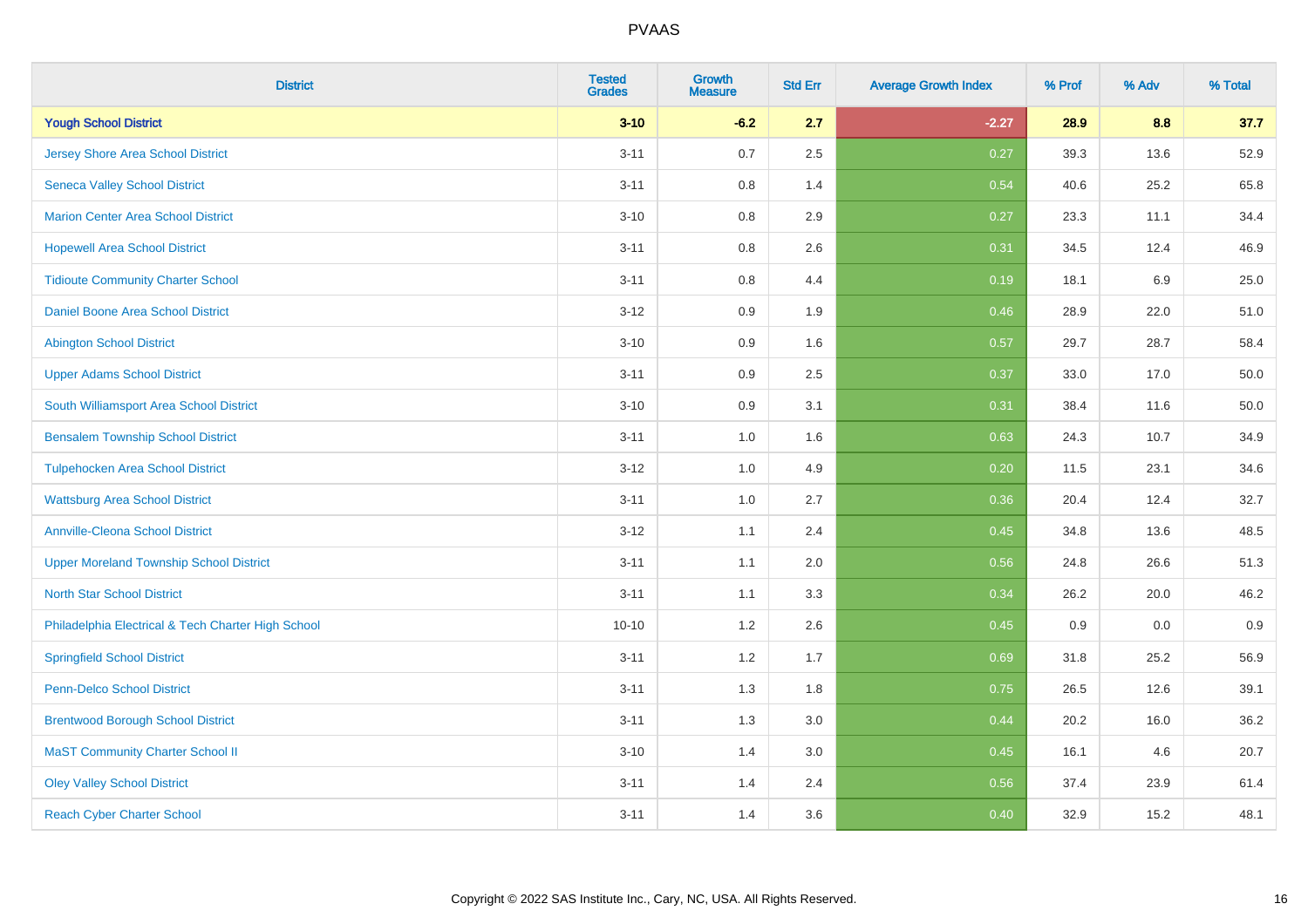| <b>District</b>                                    | <b>Tested</b><br><b>Grades</b> | <b>Growth</b><br><b>Measure</b> | <b>Std Err</b> | <b>Average Growth Index</b> | % Prof | % Adv | % Total |
|----------------------------------------------------|--------------------------------|---------------------------------|----------------|-----------------------------|--------|-------|---------|
| <b>Yough School District</b>                       | $3 - 10$                       | $-6.2$                          | 2.7            | $-2.27$                     | 28.9   | 8.8   | 37.7    |
| <b>Jersey Shore Area School District</b>           | $3 - 11$                       | 0.7                             | 2.5            | 0.27                        | 39.3   | 13.6  | 52.9    |
| <b>Seneca Valley School District</b>               | $3 - 11$                       | 0.8                             | 1.4            | 0.54                        | 40.6   | 25.2  | 65.8    |
| <b>Marion Center Area School District</b>          | $3 - 10$                       | $0.8\,$                         | 2.9            | 0.27                        | 23.3   | 11.1  | 34.4    |
| <b>Hopewell Area School District</b>               | $3 - 11$                       | 0.8                             | 2.6            | 0.31                        | 34.5   | 12.4  | 46.9    |
| <b>Tidioute Community Charter School</b>           | $3 - 11$                       | $0.8\,$                         | 4.4            | 0.19                        | 18.1   | 6.9   | 25.0    |
| Daniel Boone Area School District                  | $3 - 12$                       | $0.9\,$                         | 1.9            | 0.46                        | 28.9   | 22.0  | 51.0    |
| <b>Abington School District</b>                    | $3 - 10$                       | 0.9                             | 1.6            | 0.57                        | 29.7   | 28.7  | 58.4    |
| <b>Upper Adams School District</b>                 | $3 - 11$                       | 0.9                             | 2.5            | 0.37                        | 33.0   | 17.0  | 50.0    |
| South Williamsport Area School District            | $3 - 10$                       | $0.9\,$                         | 3.1            | 0.31                        | 38.4   | 11.6  | 50.0    |
| <b>Bensalem Township School District</b>           | $3 - 11$                       | 1.0                             | 1.6            | 0.63                        | 24.3   | 10.7  | 34.9    |
| <b>Tulpehocken Area School District</b>            | $3 - 12$                       | 1.0                             | 4.9            | 0.20                        | 11.5   | 23.1  | 34.6    |
| <b>Wattsburg Area School District</b>              | $3 - 11$                       | 1.0                             | 2.7            | 0.36                        | 20.4   | 12.4  | 32.7    |
| <b>Annville-Cleona School District</b>             | $3 - 12$                       | 1.1                             | 2.4            | 0.45                        | 34.8   | 13.6  | 48.5    |
| <b>Upper Moreland Township School District</b>     | $3 - 11$                       | 1.1                             | 2.0            | 0.56                        | 24.8   | 26.6  | 51.3    |
| <b>North Star School District</b>                  | $3 - 11$                       | 1.1                             | 3.3            | 0.34                        | 26.2   | 20.0  | 46.2    |
| Philadelphia Electrical & Tech Charter High School | $10 - 10$                      | 1.2                             | 2.6            | 0.45                        | 0.9    | 0.0   | 0.9     |
| <b>Springfield School District</b>                 | $3 - 11$                       | 1.2                             | 1.7            | 0.69                        | 31.8   | 25.2  | 56.9    |
| <b>Penn-Delco School District</b>                  | $3 - 11$                       | 1.3                             | 1.8            | 0.75                        | 26.5   | 12.6  | 39.1    |
| <b>Brentwood Borough School District</b>           | $3 - 11$                       | 1.3                             | 3.0            | 0.44                        | 20.2   | 16.0  | 36.2    |
| <b>MaST Community Charter School II</b>            | $3 - 10$                       | 1.4                             | 3.0            | 0.45                        | 16.1   | 4.6   | 20.7    |
| <b>Oley Valley School District</b>                 | $3 - 11$                       | 1.4                             | 2.4            | 0.56                        | 37.4   | 23.9  | 61.4    |
| <b>Reach Cyber Charter School</b>                  | $3 - 11$                       | 1.4                             | 3.6            | 0.40                        | 32.9   | 15.2  | 48.1    |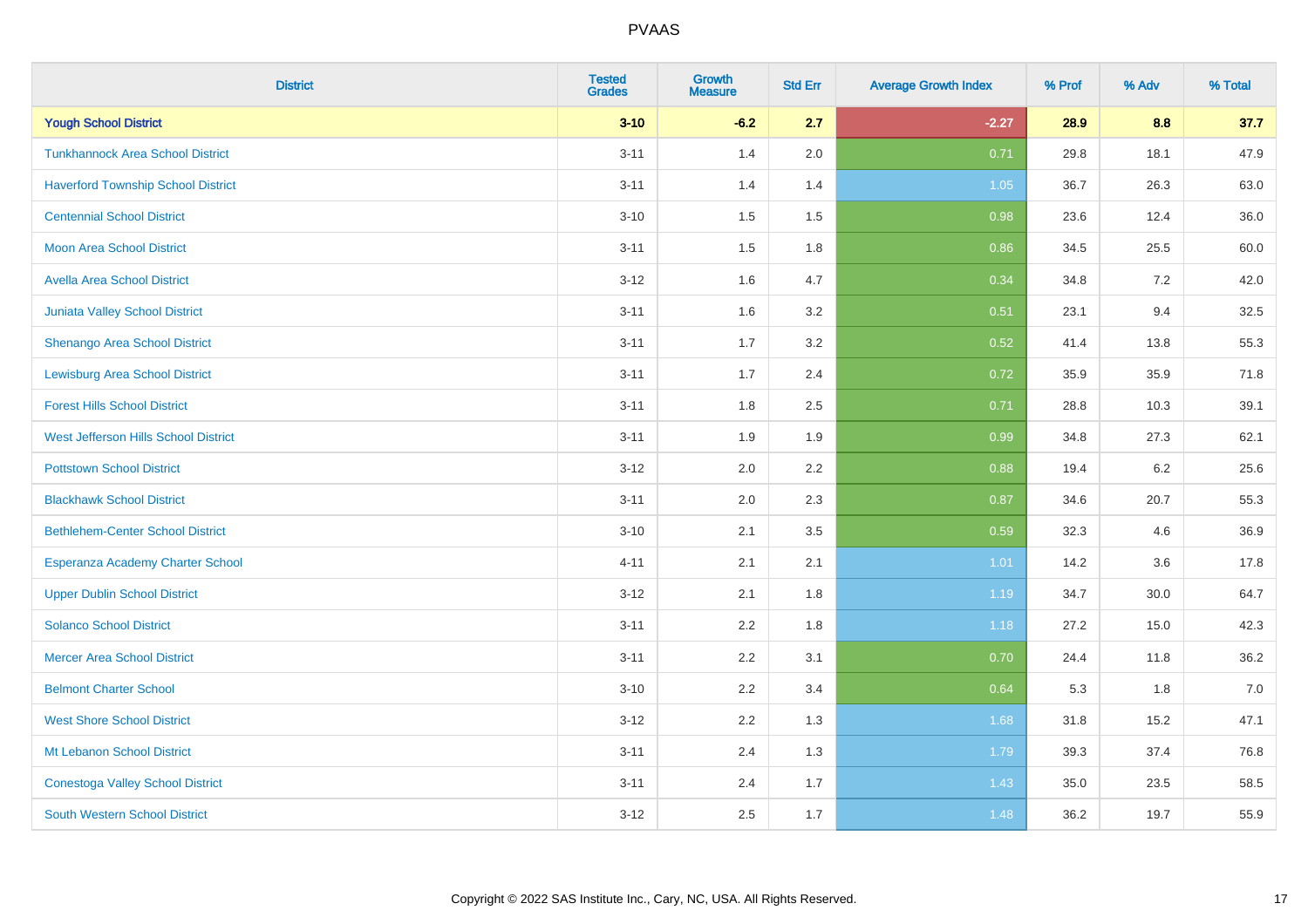| <b>District</b>                           | <b>Tested</b><br><b>Grades</b> | <b>Growth</b><br><b>Measure</b> | <b>Std Err</b> | <b>Average Growth Index</b> | % Prof | % Adv | % Total |
|-------------------------------------------|--------------------------------|---------------------------------|----------------|-----------------------------|--------|-------|---------|
| <b>Yough School District</b>              | $3 - 10$                       | $-6.2$                          | 2.7            | $-2.27$                     | 28.9   | 8.8   | 37.7    |
| <b>Tunkhannock Area School District</b>   | $3 - 11$                       | 1.4                             | 2.0            | 0.71                        | 29.8   | 18.1  | 47.9    |
| <b>Haverford Township School District</b> | $3 - 11$                       | 1.4                             | 1.4            | 1.05                        | 36.7   | 26.3  | 63.0    |
| <b>Centennial School District</b>         | $3 - 10$                       | 1.5                             | 1.5            | 0.98                        | 23.6   | 12.4  | 36.0    |
| <b>Moon Area School District</b>          | $3 - 11$                       | 1.5                             | 1.8            | 0.86                        | 34.5   | 25.5  | 60.0    |
| <b>Avella Area School District</b>        | $3 - 12$                       | 1.6                             | 4.7            | 0.34                        | 34.8   | 7.2   | 42.0    |
| <b>Juniata Valley School District</b>     | $3 - 11$                       | 1.6                             | 3.2            | 0.51                        | 23.1   | 9.4   | 32.5    |
| <b>Shenango Area School District</b>      | $3 - 11$                       | 1.7                             | 3.2            | 0.52                        | 41.4   | 13.8  | 55.3    |
| <b>Lewisburg Area School District</b>     | $3 - 11$                       | 1.7                             | 2.4            | 0.72                        | 35.9   | 35.9  | 71.8    |
| <b>Forest Hills School District</b>       | $3 - 11$                       | 1.8                             | 2.5            | 0.71                        | 28.8   | 10.3  | 39.1    |
| West Jefferson Hills School District      | $3 - 11$                       | 1.9                             | 1.9            | 0.99                        | 34.8   | 27.3  | 62.1    |
| <b>Pottstown School District</b>          | $3 - 12$                       | 2.0                             | 2.2            | 0.88                        | 19.4   | 6.2   | 25.6    |
| <b>Blackhawk School District</b>          | $3 - 11$                       | 2.0                             | 2.3            | 0.87                        | 34.6   | 20.7  | 55.3    |
| <b>Bethlehem-Center School District</b>   | $3 - 10$                       | 2.1                             | 3.5            | 0.59                        | 32.3   | 4.6   | 36.9    |
| Esperanza Academy Charter School          | $4 - 11$                       | 2.1                             | 2.1            | 1.01                        | 14.2   | 3.6   | 17.8    |
| <b>Upper Dublin School District</b>       | $3-12$                         | 2.1                             | 1.8            | 1.19                        | 34.7   | 30.0  | 64.7    |
| <b>Solanco School District</b>            | $3 - 11$                       | 2.2                             | 1.8            | 1.18                        | 27.2   | 15.0  | 42.3    |
| <b>Mercer Area School District</b>        | $3 - 11$                       | 2.2                             | 3.1            | 0.70                        | 24.4   | 11.8  | 36.2    |
| <b>Belmont Charter School</b>             | $3 - 10$                       | 2.2                             | 3.4            | 0.64                        | 5.3    | 1.8   | $7.0$   |
| <b>West Shore School District</b>         | $3-12$                         | 2.2                             | 1.3            | 1.68                        | 31.8   | 15.2  | 47.1    |
| Mt Lebanon School District                | $3 - 11$                       | 2.4                             | 1.3            | 1.79                        | 39.3   | 37.4  | 76.8    |
| <b>Conestoga Valley School District</b>   | $3 - 11$                       | 2.4                             | 1.7            | 1.43                        | 35.0   | 23.5  | 58.5    |
| <b>South Western School District</b>      | $3-12$                         | 2.5                             | 1.7            | 1.48                        | 36.2   | 19.7  | 55.9    |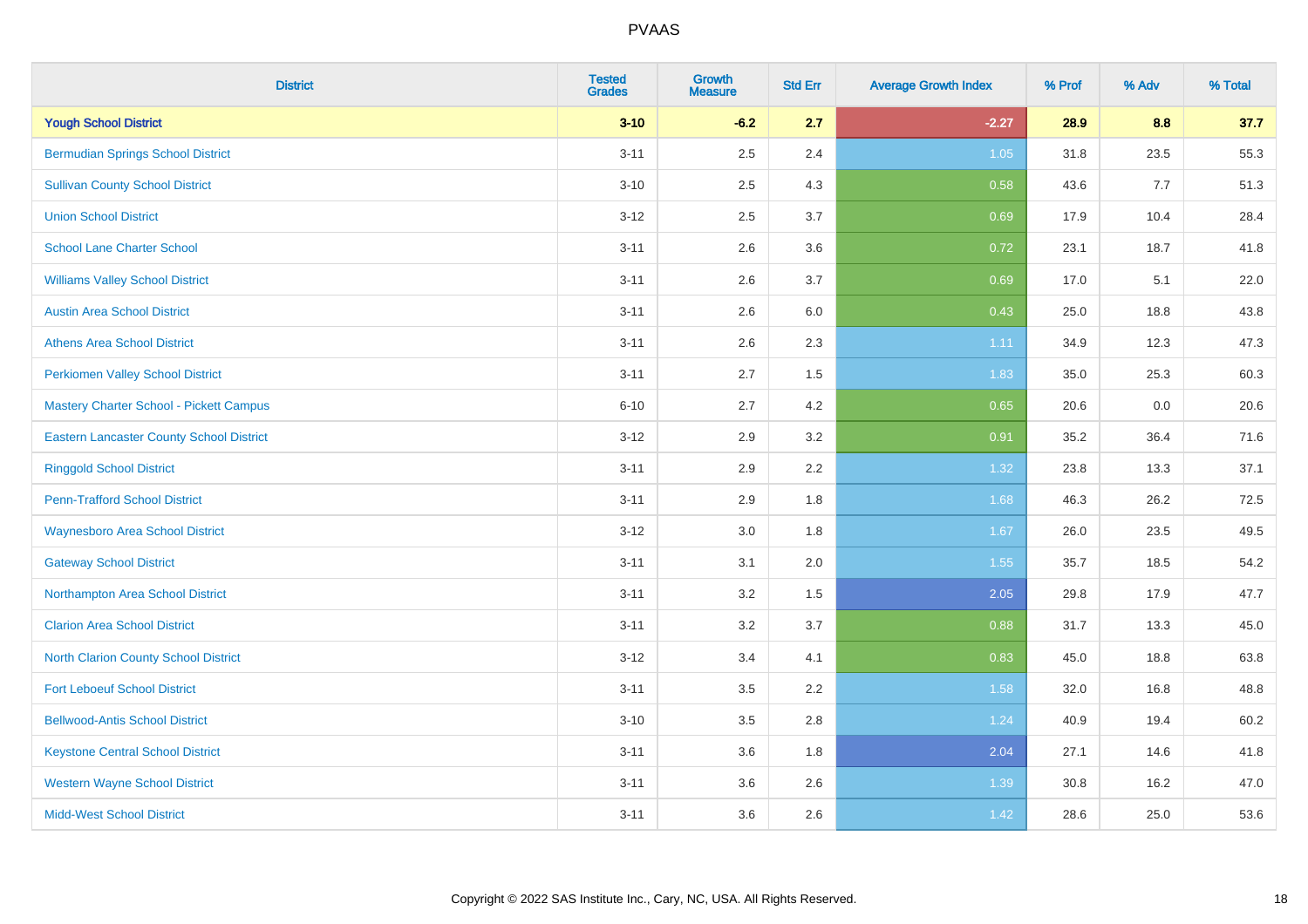| <b>District</b>                                 | <b>Tested</b><br><b>Grades</b> | <b>Growth</b><br><b>Measure</b> | <b>Std Err</b> | <b>Average Growth Index</b> | % Prof | % Adv | % Total |
|-------------------------------------------------|--------------------------------|---------------------------------|----------------|-----------------------------|--------|-------|---------|
| <b>Yough School District</b>                    | $3 - 10$                       | $-6.2$                          | 2.7            | $-2.27$                     | 28.9   | 8.8   | 37.7    |
| <b>Bermudian Springs School District</b>        | $3 - 11$                       | 2.5                             | 2.4            | $1.05$                      | 31.8   | 23.5  | 55.3    |
| <b>Sullivan County School District</b>          | $3 - 10$                       | 2.5                             | 4.3            | 0.58                        | 43.6   | 7.7   | 51.3    |
| <b>Union School District</b>                    | $3 - 12$                       | 2.5                             | 3.7            | 0.69                        | 17.9   | 10.4  | 28.4    |
| <b>School Lane Charter School</b>               | $3 - 11$                       | 2.6                             | 3.6            | 0.72                        | 23.1   | 18.7  | 41.8    |
| <b>Williams Valley School District</b>          | $3 - 11$                       | 2.6                             | 3.7            | 0.69                        | 17.0   | 5.1   | 22.0    |
| <b>Austin Area School District</b>              | $3 - 11$                       | 2.6                             | 6.0            | 0.43                        | 25.0   | 18.8  | 43.8    |
| <b>Athens Area School District</b>              | $3 - 11$                       | 2.6                             | 2.3            | 1.11                        | 34.9   | 12.3  | 47.3    |
| <b>Perkiomen Valley School District</b>         | $3 - 11$                       | 2.7                             | 1.5            | 1.83                        | 35.0   | 25.3  | 60.3    |
| Mastery Charter School - Pickett Campus         | $6 - 10$                       | 2.7                             | 4.2            | 0.65                        | 20.6   | 0.0   | 20.6    |
| <b>Eastern Lancaster County School District</b> | $3 - 12$                       | 2.9                             | 3.2            | 0.91                        | 35.2   | 36.4  | 71.6    |
| <b>Ringgold School District</b>                 | $3 - 11$                       | 2.9                             | 2.2            | 1.32                        | 23.8   | 13.3  | 37.1    |
| <b>Penn-Trafford School District</b>            | $3 - 11$                       | 2.9                             | 1.8            | 1.68                        | 46.3   | 26.2  | 72.5    |
| <b>Waynesboro Area School District</b>          | $3 - 12$                       | $3.0\,$                         | 1.8            | 1.67                        | 26.0   | 23.5  | 49.5    |
| <b>Gateway School District</b>                  | $3 - 11$                       | 3.1                             | 2.0            | 1.55                        | 35.7   | 18.5  | 54.2    |
| Northampton Area School District                | $3 - 11$                       | 3.2                             | 1.5            | 2.05                        | 29.8   | 17.9  | 47.7    |
| <b>Clarion Area School District</b>             | $3 - 11$                       | 3.2                             | 3.7            | 0.88                        | 31.7   | 13.3  | 45.0    |
| North Clarion County School District            | $3 - 12$                       | 3.4                             | 4.1            | 0.83                        | 45.0   | 18.8  | 63.8    |
| <b>Fort Leboeuf School District</b>             | $3 - 11$                       | 3.5                             | 2.2            | 1.58                        | 32.0   | 16.8  | 48.8    |
| <b>Bellwood-Antis School District</b>           | $3 - 10$                       | 3.5                             | 2.8            | 1.24                        | 40.9   | 19.4  | 60.2    |
| <b>Keystone Central School District</b>         | $3 - 11$                       | 3.6                             | 1.8            | 2.04                        | 27.1   | 14.6  | 41.8    |
| <b>Western Wayne School District</b>            | $3 - 11$                       | 3.6                             | 2.6            | 1.39                        | 30.8   | 16.2  | 47.0    |
| <b>Midd-West School District</b>                | $3 - 11$                       | 3.6                             | 2.6            | 1.42                        | 28.6   | 25.0  | 53.6    |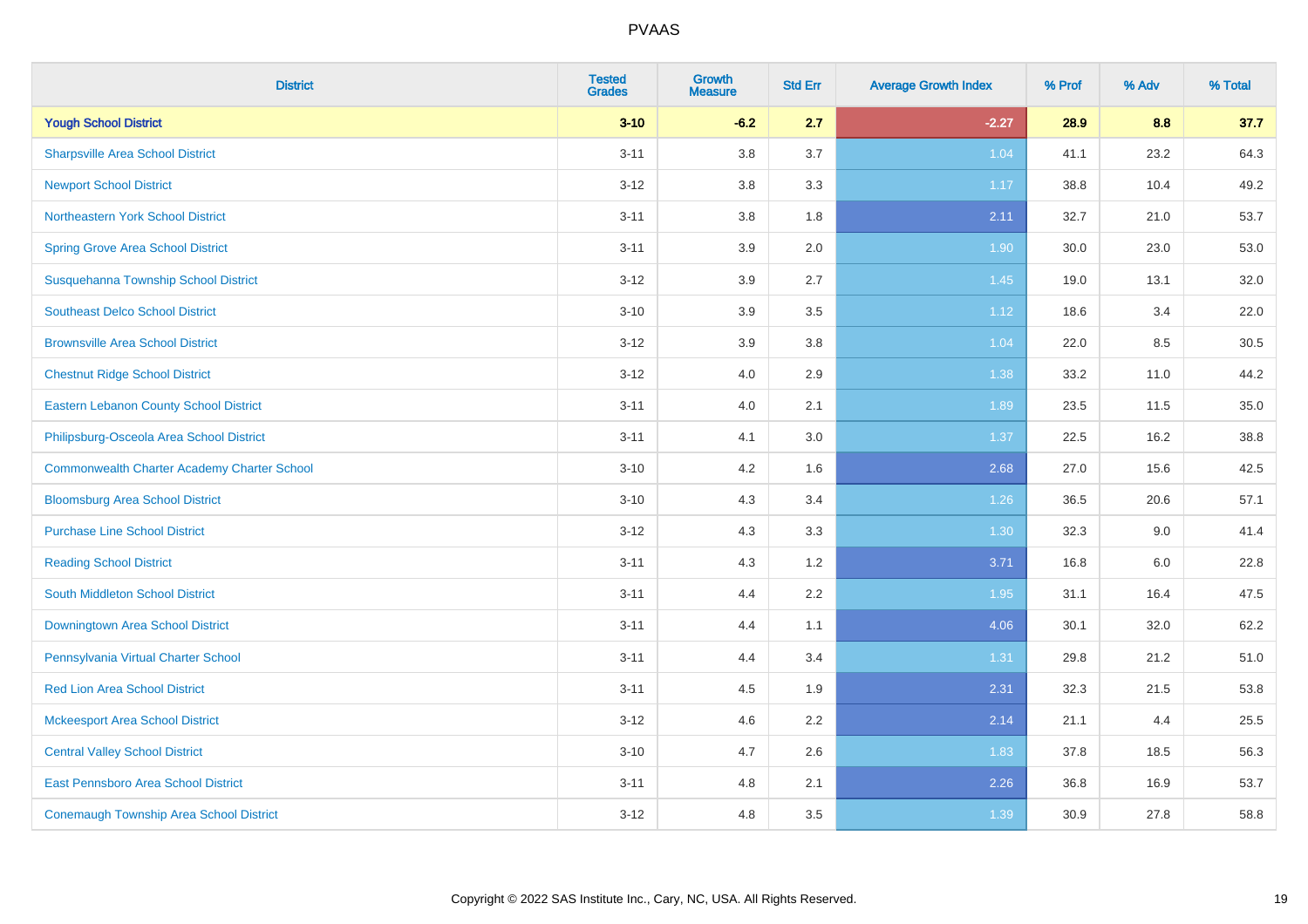| <b>District</b>                                    | <b>Tested</b><br><b>Grades</b> | <b>Growth</b><br><b>Measure</b> | <b>Std Err</b> | <b>Average Growth Index</b> | % Prof | % Adv | % Total |
|----------------------------------------------------|--------------------------------|---------------------------------|----------------|-----------------------------|--------|-------|---------|
| <b>Yough School District</b>                       | $3 - 10$                       | $-6.2$                          | 2.7            | $-2.27$                     | 28.9   | 8.8   | 37.7    |
| <b>Sharpsville Area School District</b>            | $3 - 11$                       | 3.8                             | 3.7            | 1.04                        | 41.1   | 23.2  | 64.3    |
| <b>Newport School District</b>                     | $3 - 12$                       | 3.8                             | 3.3            | 1.17                        | 38.8   | 10.4  | 49.2    |
| Northeastern York School District                  | $3 - 11$                       | 3.8                             | 1.8            | 2.11                        | 32.7   | 21.0  | 53.7    |
| <b>Spring Grove Area School District</b>           | $3 - 11$                       | 3.9                             | 2.0            | 1.90                        | 30.0   | 23.0  | 53.0    |
| Susquehanna Township School District               | $3 - 12$                       | 3.9                             | 2.7            | 1.45                        | 19.0   | 13.1  | 32.0    |
| <b>Southeast Delco School District</b>             | $3 - 10$                       | 3.9                             | 3.5            | 1.12                        | 18.6   | 3.4   | 22.0    |
| <b>Brownsville Area School District</b>            | $3 - 12$                       | 3.9                             | 3.8            | 1.04                        | 22.0   | 8.5   | 30.5    |
| <b>Chestnut Ridge School District</b>              | $3 - 12$                       | 4.0                             | 2.9            | 1.38                        | 33.2   | 11.0  | 44.2    |
| <b>Eastern Lebanon County School District</b>      | $3 - 11$                       | 4.0                             | 2.1            | 1.89                        | 23.5   | 11.5  | 35.0    |
| Philipsburg-Osceola Area School District           | $3 - 11$                       | 4.1                             | 3.0            | 1.37                        | 22.5   | 16.2  | 38.8    |
| <b>Commonwealth Charter Academy Charter School</b> | $3 - 10$                       | 4.2                             | 1.6            | 2.68                        | 27.0   | 15.6  | 42.5    |
| <b>Bloomsburg Area School District</b>             | $3 - 10$                       | 4.3                             | 3.4            | 1.26                        | 36.5   | 20.6  | 57.1    |
| <b>Purchase Line School District</b>               | $3 - 12$                       | 4.3                             | 3.3            | 1.30                        | 32.3   | 9.0   | 41.4    |
| <b>Reading School District</b>                     | $3 - 11$                       | 4.3                             | 1.2            | 3.71                        | 16.8   | 6.0   | 22.8    |
| <b>South Middleton School District</b>             | $3 - 11$                       | 4.4                             | 2.2            | 1.95                        | 31.1   | 16.4  | 47.5    |
| Downingtown Area School District                   | $3 - 11$                       | 4.4                             | 1.1            | 4.06                        | 30.1   | 32.0  | 62.2    |
| Pennsylvania Virtual Charter School                | $3 - 11$                       | 4.4                             | 3.4            | 1.31                        | 29.8   | 21.2  | 51.0    |
| <b>Red Lion Area School District</b>               | $3 - 11$                       | 4.5                             | 1.9            | 2.31                        | 32.3   | 21.5  | 53.8    |
| <b>Mckeesport Area School District</b>             | $3 - 12$                       | 4.6                             | 2.2            | 2.14                        | 21.1   | 4.4   | 25.5    |
| <b>Central Valley School District</b>              | $3 - 10$                       | 4.7                             | 2.6            | 1.83                        | 37.8   | 18.5  | 56.3    |
| East Pennsboro Area School District                | $3 - 11$                       | 4.8                             | 2.1            | 2.26                        | 36.8   | 16.9  | 53.7    |
| <b>Conemaugh Township Area School District</b>     | $3 - 12$                       | 4.8                             | 3.5            | 1.39                        | 30.9   | 27.8  | 58.8    |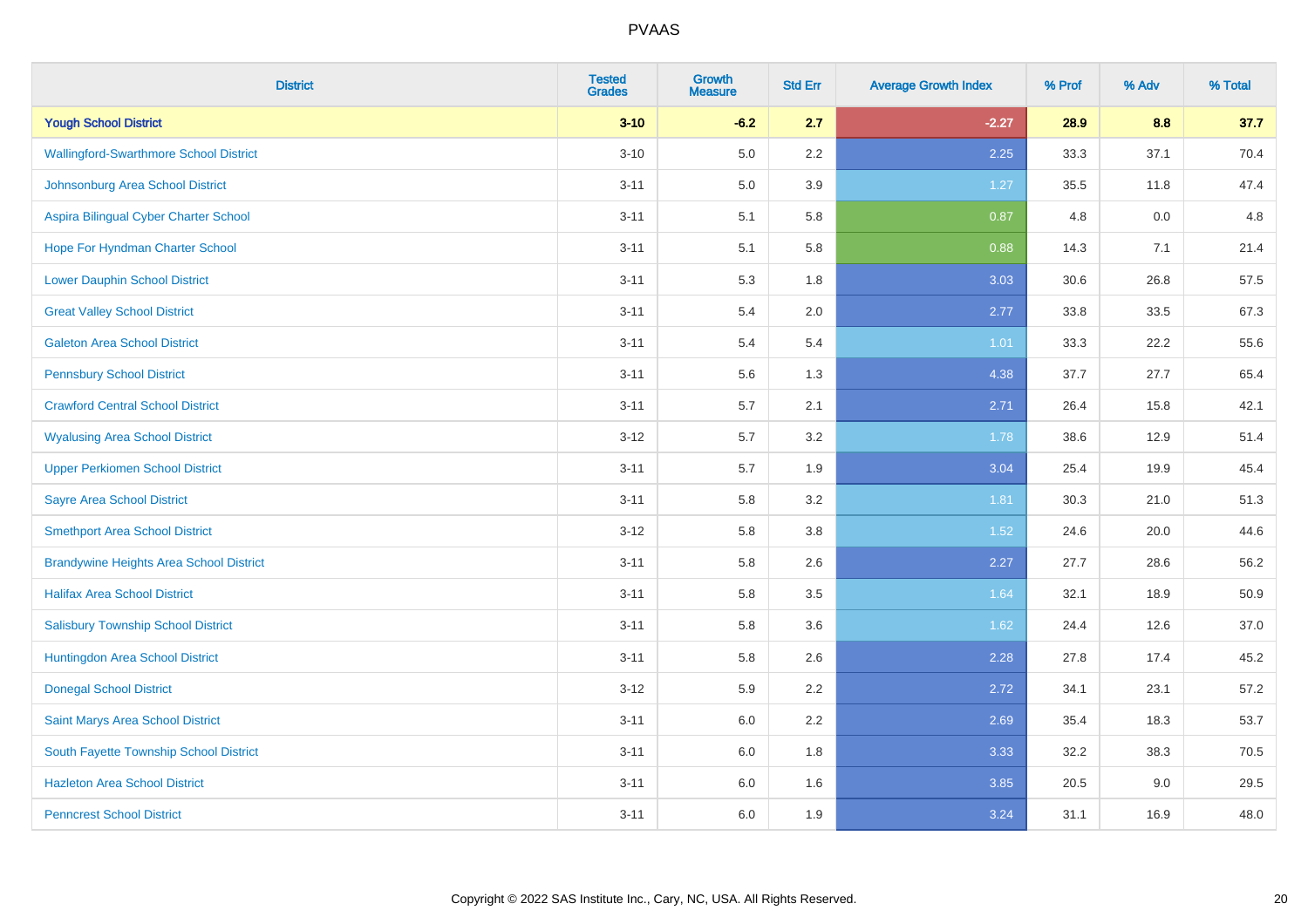| <b>District</b>                                | <b>Tested</b><br><b>Grades</b> | <b>Growth</b><br><b>Measure</b> | <b>Std Err</b> | <b>Average Growth Index</b> | % Prof | % Adv | % Total |
|------------------------------------------------|--------------------------------|---------------------------------|----------------|-----------------------------|--------|-------|---------|
| <b>Yough School District</b>                   | $3 - 10$                       | $-6.2$                          | 2.7            | $-2.27$                     | 28.9   | 8.8   | 37.7    |
| <b>Wallingford-Swarthmore School District</b>  | $3 - 10$                       | $5.0\,$                         | $2.2\,$        | 2.25                        | 33.3   | 37.1  | 70.4    |
| Johnsonburg Area School District               | $3 - 11$                       | 5.0                             | 3.9            | $1.27$                      | 35.5   | 11.8  | 47.4    |
| Aspira Bilingual Cyber Charter School          | $3 - 11$                       | 5.1                             | 5.8            | 0.87                        | 4.8    | 0.0   | 4.8     |
| Hope For Hyndman Charter School                | $3 - 11$                       | 5.1                             | 5.8            | 0.88                        | 14.3   | 7.1   | 21.4    |
| <b>Lower Dauphin School District</b>           | $3 - 11$                       | 5.3                             | 1.8            | 3.03                        | 30.6   | 26.8  | 57.5    |
| <b>Great Valley School District</b>            | $3 - 11$                       | 5.4                             | 2.0            | 2.77                        | 33.8   | 33.5  | 67.3    |
| <b>Galeton Area School District</b>            | $3 - 11$                       | 5.4                             | 5.4            | 1.01                        | 33.3   | 22.2  | 55.6    |
| <b>Pennsbury School District</b>               | $3 - 11$                       | 5.6                             | 1.3            | 4.38                        | 37.7   | 27.7  | 65.4    |
| <b>Crawford Central School District</b>        | $3 - 11$                       | 5.7                             | 2.1            | 2.71                        | 26.4   | 15.8  | 42.1    |
| <b>Wyalusing Area School District</b>          | $3 - 12$                       | 5.7                             | 3.2            | 1.78                        | 38.6   | 12.9  | 51.4    |
| <b>Upper Perkiomen School District</b>         | $3 - 11$                       | 5.7                             | 1.9            | 3.04                        | 25.4   | 19.9  | 45.4    |
| <b>Sayre Area School District</b>              | $3 - 11$                       | 5.8                             | 3.2            | 1.81                        | 30.3   | 21.0  | 51.3    |
| <b>Smethport Area School District</b>          | $3 - 12$                       | 5.8                             | 3.8            | 1.52                        | 24.6   | 20.0  | 44.6    |
| <b>Brandywine Heights Area School District</b> | $3 - 11$                       | 5.8                             | 2.6            | 2.27                        | 27.7   | 28.6  | 56.2    |
| <b>Halifax Area School District</b>            | $3 - 11$                       | 5.8                             | 3.5            | 1.64                        | 32.1   | 18.9  | 50.9    |
| <b>Salisbury Township School District</b>      | $3 - 11$                       | 5.8                             | 3.6            | 1.62                        | 24.4   | 12.6  | 37.0    |
| Huntingdon Area School District                | $3 - 11$                       | 5.8                             | 2.6            | 2.28                        | 27.8   | 17.4  | 45.2    |
| <b>Donegal School District</b>                 | $3 - 12$                       | 5.9                             | 2.2            | 2.72                        | 34.1   | 23.1  | 57.2    |
| Saint Marys Area School District               | $3 - 11$                       | 6.0                             | 2.2            | 2.69                        | 35.4   | 18.3  | 53.7    |
| South Fayette Township School District         | $3 - 11$                       | 6.0                             | 1.8            | 3.33                        | 32.2   | 38.3  | 70.5    |
| <b>Hazleton Area School District</b>           | $3 - 11$                       | 6.0                             | 1.6            | 3.85                        | 20.5   | 9.0   | 29.5    |
| <b>Penncrest School District</b>               | $3 - 11$                       | 6.0                             | 1.9            | 3.24                        | 31.1   | 16.9  | 48.0    |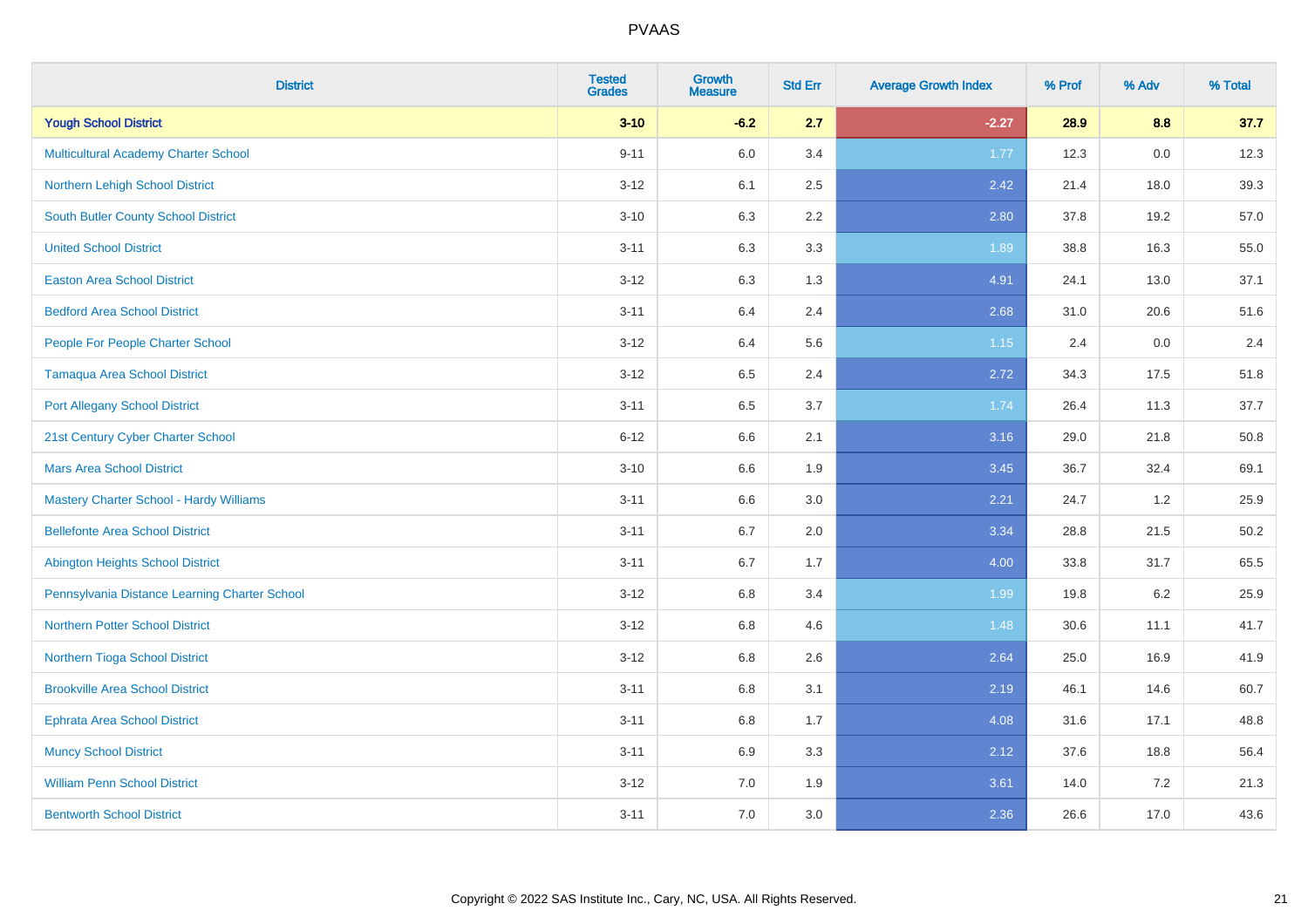| <b>District</b>                               | <b>Tested</b><br><b>Grades</b> | <b>Growth</b><br><b>Measure</b> | <b>Std Err</b> | <b>Average Growth Index</b> | % Prof | % Adv   | % Total |
|-----------------------------------------------|--------------------------------|---------------------------------|----------------|-----------------------------|--------|---------|---------|
| <b>Yough School District</b>                  | $3 - 10$                       | $-6.2$                          | 2.7            | $-2.27$                     | 28.9   | 8.8     | 37.7    |
| Multicultural Academy Charter School          | $9 - 11$                       | 6.0                             | 3.4            | 1.77                        | 12.3   | $0.0\,$ | 12.3    |
| Northern Lehigh School District               | $3 - 12$                       | 6.1                             | 2.5            | 2.42                        | 21.4   | 18.0    | 39.3    |
| South Butler County School District           | $3 - 10$                       | 6.3                             | 2.2            | 2.80                        | 37.8   | 19.2    | 57.0    |
| <b>United School District</b>                 | $3 - 11$                       | 6.3                             | 3.3            | 1.89                        | 38.8   | 16.3    | 55.0    |
| <b>Easton Area School District</b>            | $3 - 12$                       | 6.3                             | 1.3            | 4.91                        | 24.1   | 13.0    | 37.1    |
| <b>Bedford Area School District</b>           | $3 - 11$                       | 6.4                             | 2.4            | 2.68                        | 31.0   | 20.6    | 51.6    |
| People For People Charter School              | $3-12$                         | 6.4                             | 5.6            | 1.15                        | 2.4    | 0.0     | 2.4     |
| <b>Tamaqua Area School District</b>           | $3-12$                         | 6.5                             | 2.4            | 2.72                        | 34.3   | 17.5    | 51.8    |
| <b>Port Allegany School District</b>          | $3 - 11$                       | 6.5                             | 3.7            | 1.74                        | 26.4   | 11.3    | 37.7    |
| 21st Century Cyber Charter School             | $6 - 12$                       | 6.6                             | 2.1            | 3.16                        | 29.0   | 21.8    | 50.8    |
| <b>Mars Area School District</b>              | $3 - 10$                       | 6.6                             | 1.9            | 3.45                        | 36.7   | 32.4    | 69.1    |
| Mastery Charter School - Hardy Williams       | $3 - 11$                       | 6.6                             | $3.0\,$        | 2.21                        | 24.7   | $1.2\,$ | 25.9    |
| <b>Bellefonte Area School District</b>        | $3 - 11$                       | 6.7                             | 2.0            | 3.34                        | 28.8   | 21.5    | 50.2    |
| Abington Heights School District              | $3 - 11$                       | 6.7                             | 1.7            | 4.00                        | 33.8   | 31.7    | 65.5    |
| Pennsylvania Distance Learning Charter School | $3 - 12$                       | $6.8\,$                         | 3.4            | 1.99                        | 19.8   | $6.2\,$ | 25.9    |
| <b>Northern Potter School District</b>        | $3 - 12$                       | 6.8                             | 4.6            | 1.48                        | 30.6   | 11.1    | 41.7    |
| Northern Tioga School District                | $3-12$                         | 6.8                             | 2.6            | 2.64                        | 25.0   | 16.9    | 41.9    |
| <b>Brookville Area School District</b>        | $3 - 11$                       | 6.8                             | 3.1            | 2.19                        | 46.1   | 14.6    | 60.7    |
| Ephrata Area School District                  | $3 - 11$                       | 6.8                             | 1.7            | 4.08                        | 31.6   | 17.1    | 48.8    |
| <b>Muncy School District</b>                  | $3 - 11$                       | 6.9                             | 3.3            | 2.12                        | 37.6   | 18.8    | 56.4    |
| <b>William Penn School District</b>           | $3-12$                         | 7.0                             | 1.9            | 3.61                        | 14.0   | $7.2\,$ | 21.3    |
| <b>Bentworth School District</b>              | $3 - 11$                       | 7.0                             | 3.0            | 2.36                        | 26.6   | 17.0    | 43.6    |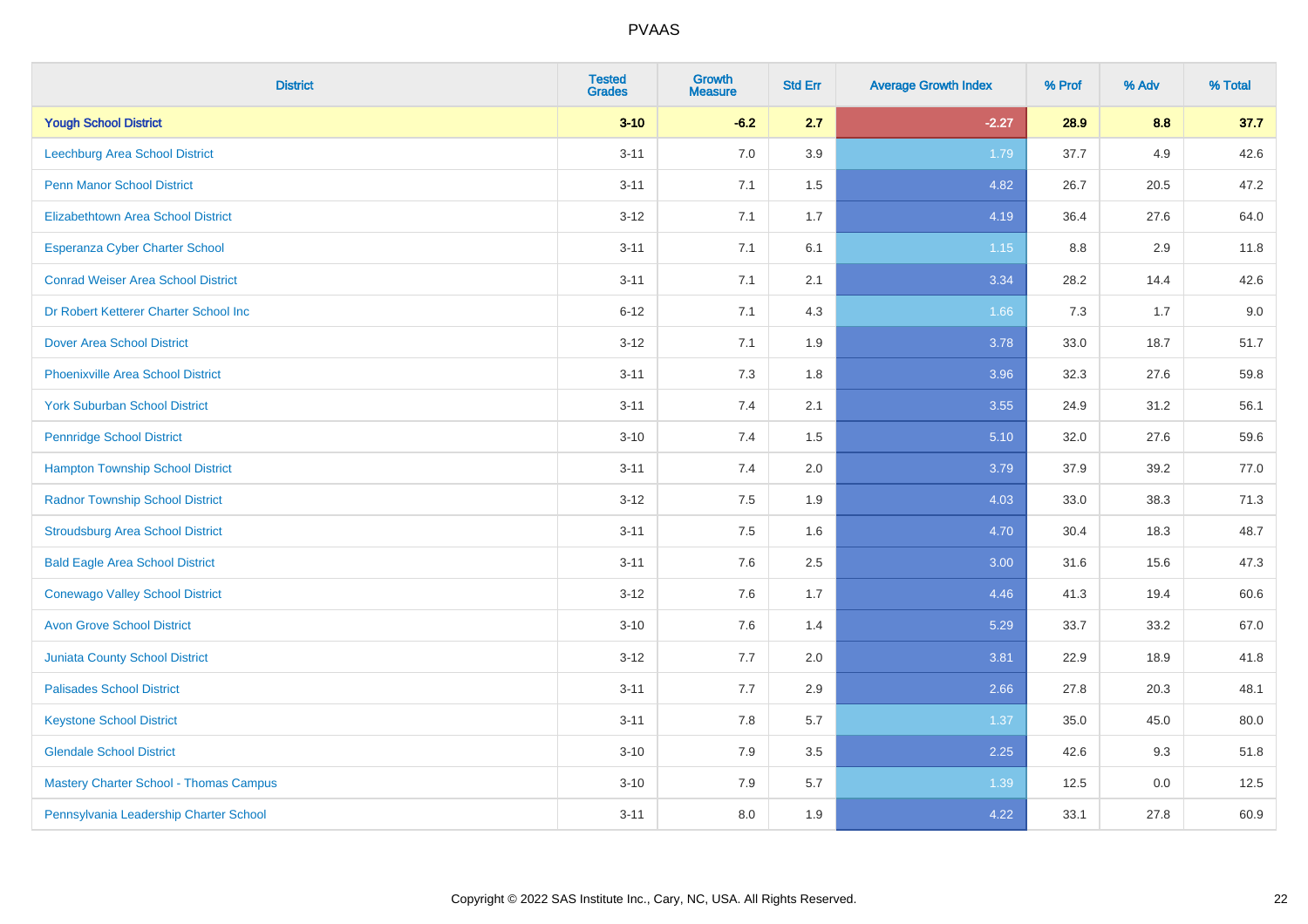| <b>District</b>                               | <b>Tested</b><br><b>Grades</b> | <b>Growth</b><br><b>Measure</b> | <b>Std Err</b> | <b>Average Growth Index</b> | % Prof | % Adv | % Total |
|-----------------------------------------------|--------------------------------|---------------------------------|----------------|-----------------------------|--------|-------|---------|
| <b>Yough School District</b>                  | $3 - 10$                       | $-6.2$                          | 2.7            | $-2.27$                     | 28.9   | 8.8   | 37.7    |
| Leechburg Area School District                | $3 - 11$                       | 7.0                             | 3.9            | 1.79                        | 37.7   | 4.9   | 42.6    |
| <b>Penn Manor School District</b>             | $3 - 11$                       | 7.1                             | 1.5            | 4.82                        | 26.7   | 20.5  | 47.2    |
| <b>Elizabethtown Area School District</b>     | $3 - 12$                       | 7.1                             | 1.7            | 4.19                        | 36.4   | 27.6  | 64.0    |
| <b>Esperanza Cyber Charter School</b>         | $3 - 11$                       | 7.1                             | 6.1            | $1.15$                      | 8.8    | 2.9   | 11.8    |
| <b>Conrad Weiser Area School District</b>     | $3 - 11$                       | 7.1                             | 2.1            | 3.34                        | 28.2   | 14.4  | 42.6    |
| Dr Robert Ketterer Charter School Inc         | $6 - 12$                       | 7.1                             | 4.3            | 1.66                        | 7.3    | 1.7   | 9.0     |
| <b>Dover Area School District</b>             | $3 - 12$                       | 7.1                             | 1.9            | 3.78                        | 33.0   | 18.7  | 51.7    |
| <b>Phoenixville Area School District</b>      | $3 - 11$                       | 7.3                             | 1.8            | 3.96                        | 32.3   | 27.6  | 59.8    |
| <b>York Suburban School District</b>          | $3 - 11$                       | 7.4                             | 2.1            | 3.55                        | 24.9   | 31.2  | 56.1    |
| <b>Pennridge School District</b>              | $3 - 10$                       | 7.4                             | 1.5            | 5.10                        | 32.0   | 27.6  | 59.6    |
| <b>Hampton Township School District</b>       | $3 - 11$                       | 7.4                             | 2.0            | 3.79                        | 37.9   | 39.2  | 77.0    |
| <b>Radnor Township School District</b>        | $3 - 12$                       | $7.5\,$                         | 1.9            | 4.03                        | 33.0   | 38.3  | 71.3    |
| <b>Stroudsburg Area School District</b>       | $3 - 11$                       | 7.5                             | 1.6            | 4.70                        | 30.4   | 18.3  | 48.7    |
| <b>Bald Eagle Area School District</b>        | $3 - 11$                       | 7.6                             | 2.5            | 3.00                        | 31.6   | 15.6  | 47.3    |
| <b>Conewago Valley School District</b>        | $3-12$                         | 7.6                             | 1.7            | 4.46                        | 41.3   | 19.4  | 60.6    |
| <b>Avon Grove School District</b>             | $3 - 10$                       | 7.6                             | 1.4            | 5.29                        | 33.7   | 33.2  | 67.0    |
| <b>Juniata County School District</b>         | $3 - 12$                       | 7.7                             | 2.0            | 3.81                        | 22.9   | 18.9  | 41.8    |
| <b>Palisades School District</b>              | $3 - 11$                       | 7.7                             | 2.9            | 2.66                        | 27.8   | 20.3  | 48.1    |
| <b>Keystone School District</b>               | $3 - 11$                       | 7.8                             | 5.7            | 1.37                        | 35.0   | 45.0  | 80.0    |
| <b>Glendale School District</b>               | $3 - 10$                       | 7.9                             | 3.5            | 2.25                        | 42.6   | 9.3   | 51.8    |
| <b>Mastery Charter School - Thomas Campus</b> | $3 - 10$                       | 7.9                             | 5.7            | 1.39                        | 12.5   | 0.0   | 12.5    |
| Pennsylvania Leadership Charter School        | $3 - 11$                       | 8.0                             | 1.9            | 4.22                        | 33.1   | 27.8  | 60.9    |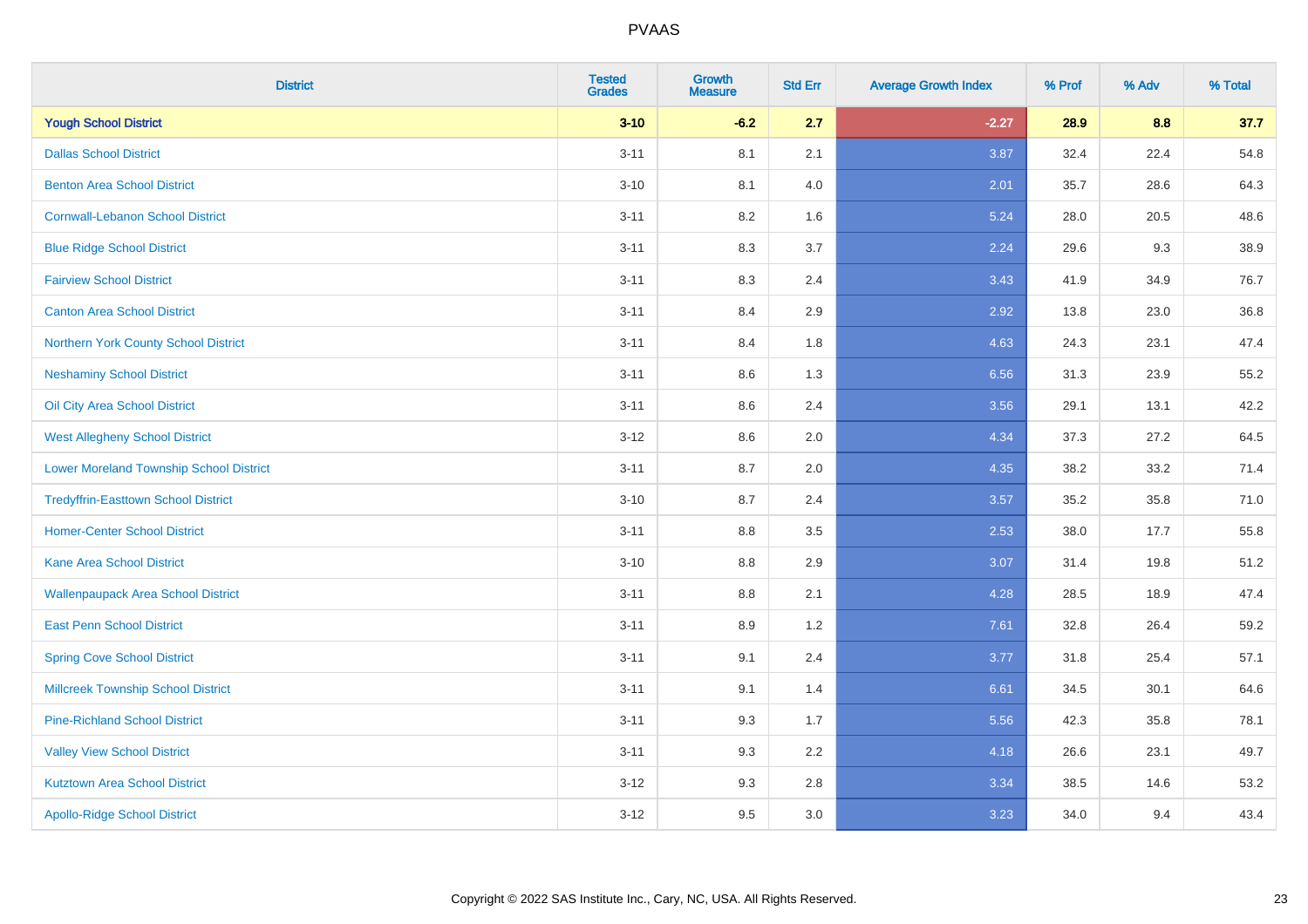| <b>District</b>                                | <b>Tested</b><br><b>Grades</b> | <b>Growth</b><br><b>Measure</b> | <b>Std Err</b> | <b>Average Growth Index</b> | % Prof | % Adv | % Total |
|------------------------------------------------|--------------------------------|---------------------------------|----------------|-----------------------------|--------|-------|---------|
| <b>Yough School District</b>                   | $3 - 10$                       | $-6.2$                          | 2.7            | $-2.27$                     | 28.9   | 8.8   | 37.7    |
| <b>Dallas School District</b>                  | $3 - 11$                       | 8.1                             | 2.1            | 3.87                        | 32.4   | 22.4  | 54.8    |
| <b>Benton Area School District</b>             | $3 - 10$                       | 8.1                             | 4.0            | 2.01                        | 35.7   | 28.6  | 64.3    |
| <b>Cornwall-Lebanon School District</b>        | $3 - 11$                       | 8.2                             | 1.6            | 5.24                        | 28.0   | 20.5  | 48.6    |
| <b>Blue Ridge School District</b>              | $3 - 11$                       | 8.3                             | 3.7            | 2.24                        | 29.6   | 9.3   | 38.9    |
| <b>Fairview School District</b>                | $3 - 11$                       | 8.3                             | 2.4            | 3.43                        | 41.9   | 34.9  | 76.7    |
| <b>Canton Area School District</b>             | $3 - 11$                       | 8.4                             | 2.9            | 2.92                        | 13.8   | 23.0  | 36.8    |
| Northern York County School District           | $3 - 11$                       | 8.4                             | 1.8            | 4.63                        | 24.3   | 23.1  | 47.4    |
| <b>Neshaminy School District</b>               | $3 - 11$                       | 8.6                             | 1.3            | 6.56                        | 31.3   | 23.9  | 55.2    |
| Oil City Area School District                  | $3 - 11$                       | 8.6                             | 2.4            | 3.56                        | 29.1   | 13.1  | 42.2    |
| <b>West Allegheny School District</b>          | $3 - 12$                       | 8.6                             | 2.0            | 4.34                        | 37.3   | 27.2  | 64.5    |
| <b>Lower Moreland Township School District</b> | $3 - 11$                       | 8.7                             | 2.0            | 4.35                        | 38.2   | 33.2  | 71.4    |
| <b>Tredyffrin-Easttown School District</b>     | $3 - 10$                       | 8.7                             | 2.4            | 3.57                        | 35.2   | 35.8  | 71.0    |
| <b>Homer-Center School District</b>            | $3 - 11$                       | 8.8                             | 3.5            | 2.53                        | 38.0   | 17.7  | 55.8    |
| <b>Kane Area School District</b>               | $3 - 10$                       | 8.8                             | 2.9            | 3.07                        | 31.4   | 19.8  | 51.2    |
| <b>Wallenpaupack Area School District</b>      | $3 - 11$                       | $8.8\,$                         | 2.1            | 4.28                        | 28.5   | 18.9  | 47.4    |
| <b>East Penn School District</b>               | $3 - 11$                       | 8.9                             | 1.2            | 7.61                        | 32.8   | 26.4  | 59.2    |
| <b>Spring Cove School District</b>             | $3 - 11$                       | 9.1                             | 2.4            | 3.77                        | 31.8   | 25.4  | 57.1    |
| <b>Millcreek Township School District</b>      | $3 - 11$                       | 9.1                             | 1.4            | 6.61                        | 34.5   | 30.1  | 64.6    |
| <b>Pine-Richland School District</b>           | $3 - 11$                       | 9.3                             | 1.7            | 5.56                        | 42.3   | 35.8  | 78.1    |
| <b>Valley View School District</b>             | $3 - 11$                       | 9.3                             | 2.2            | 4.18                        | 26.6   | 23.1  | 49.7    |
| <b>Kutztown Area School District</b>           | $3 - 12$                       | 9.3                             | 2.8            | 3.34                        | 38.5   | 14.6  | 53.2    |
| <b>Apollo-Ridge School District</b>            | $3 - 12$                       | 9.5                             | 3.0            | 3.23                        | 34.0   | 9.4   | 43.4    |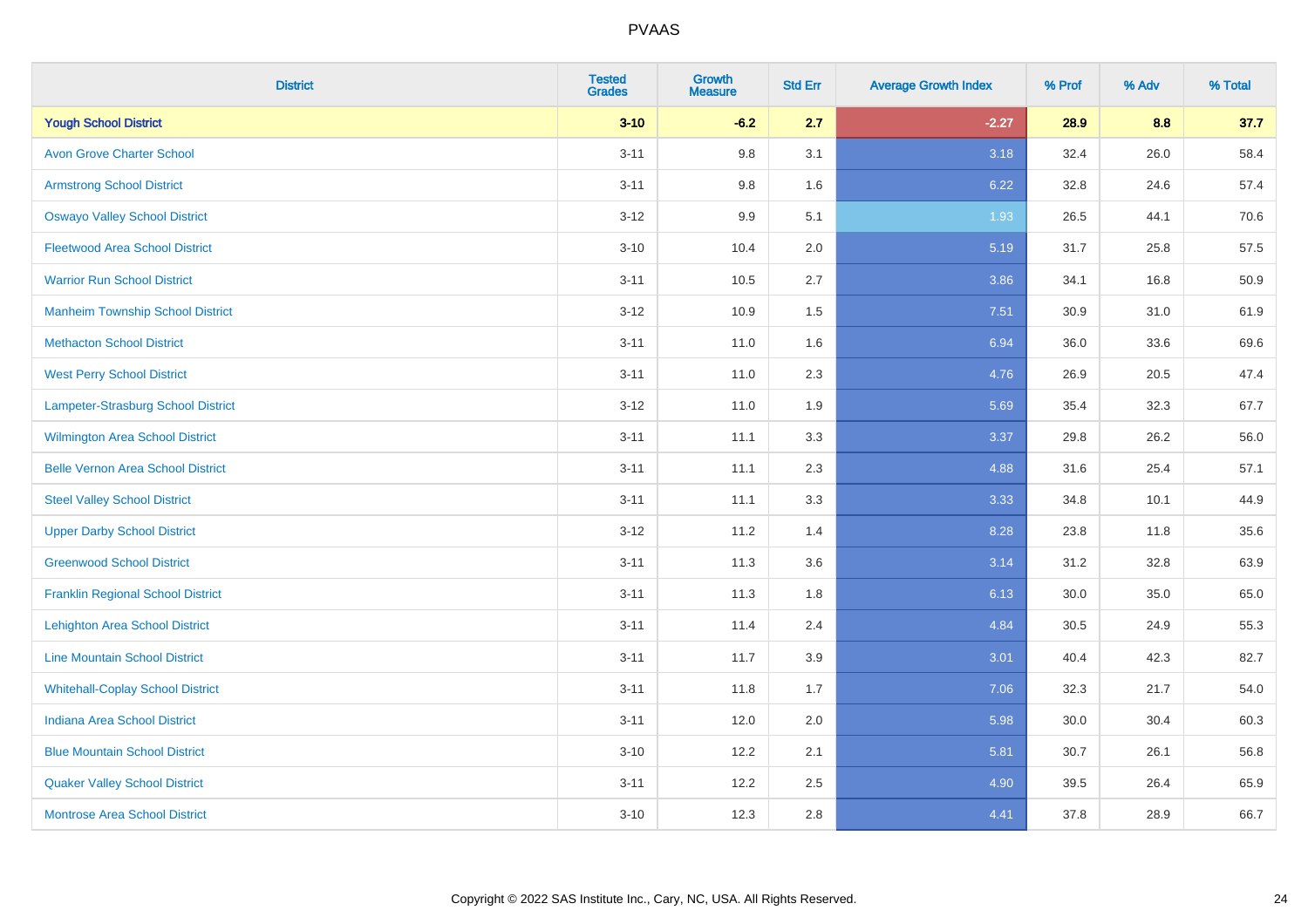| <b>District</b>                          | <b>Tested</b><br><b>Grades</b> | <b>Growth</b><br><b>Measure</b> | <b>Std Err</b> | <b>Average Growth Index</b> | % Prof | % Adv | % Total |
|------------------------------------------|--------------------------------|---------------------------------|----------------|-----------------------------|--------|-------|---------|
| <b>Yough School District</b>             | $3 - 10$                       | $-6.2$                          | 2.7            | $-2.27$                     | 28.9   | 8.8   | 37.7    |
| <b>Avon Grove Charter School</b>         | $3 - 11$                       | 9.8                             | 3.1            | 3.18                        | 32.4   | 26.0  | 58.4    |
| <b>Armstrong School District</b>         | $3 - 11$                       | 9.8                             | 1.6            | 6.22                        | 32.8   | 24.6  | 57.4    |
| <b>Oswayo Valley School District</b>     | $3 - 12$                       | 9.9                             | 5.1            | 1.93                        | 26.5   | 44.1  | 70.6    |
| <b>Fleetwood Area School District</b>    | $3 - 10$                       | 10.4                            | 2.0            | 5.19                        | 31.7   | 25.8  | 57.5    |
| <b>Warrior Run School District</b>       | $3 - 11$                       | 10.5                            | 2.7            | 3.86                        | 34.1   | 16.8  | 50.9    |
| <b>Manheim Township School District</b>  | $3-12$                         | 10.9                            | 1.5            | 7.51                        | 30.9   | 31.0  | 61.9    |
| <b>Methacton School District</b>         | $3 - 11$                       | 11.0                            | 1.6            | 6.94                        | 36.0   | 33.6  | 69.6    |
| <b>West Perry School District</b>        | $3 - 11$                       | 11.0                            | 2.3            | 4.76                        | 26.9   | 20.5  | 47.4    |
| Lampeter-Strasburg School District       | $3 - 12$                       | 11.0                            | 1.9            | 5.69                        | 35.4   | 32.3  | 67.7    |
| <b>Wilmington Area School District</b>   | $3 - 11$                       | 11.1                            | 3.3            | 3.37                        | 29.8   | 26.2  | 56.0    |
| <b>Belle Vernon Area School District</b> | $3 - 11$                       | 11.1                            | 2.3            | 4.88                        | 31.6   | 25.4  | 57.1    |
| <b>Steel Valley School District</b>      | $3 - 11$                       | 11.1                            | 3.3            | 3.33                        | 34.8   | 10.1  | 44.9    |
| <b>Upper Darby School District</b>       | $3 - 12$                       | 11.2                            | 1.4            | 8.28                        | 23.8   | 11.8  | 35.6    |
| <b>Greenwood School District</b>         | $3 - 11$                       | 11.3                            | 3.6            | 3.14                        | 31.2   | 32.8  | 63.9    |
| <b>Franklin Regional School District</b> | $3 - 11$                       | 11.3                            | 1.8            | 6.13                        | 30.0   | 35.0  | 65.0    |
| <b>Lehighton Area School District</b>    | $3 - 11$                       | 11.4                            | 2.4            | 4.84                        | 30.5   | 24.9  | 55.3    |
| <b>Line Mountain School District</b>     | $3 - 11$                       | 11.7                            | 3.9            | 3.01                        | 40.4   | 42.3  | 82.7    |
| <b>Whitehall-Coplay School District</b>  | $3 - 11$                       | 11.8                            | 1.7            | 7.06                        | 32.3   | 21.7  | 54.0    |
| <b>Indiana Area School District</b>      | $3 - 11$                       | 12.0                            | 2.0            | 5.98                        | 30.0   | 30.4  | 60.3    |
| <b>Blue Mountain School District</b>     | $3 - 10$                       | 12.2                            | 2.1            | 5.81                        | 30.7   | 26.1  | 56.8    |
| <b>Quaker Valley School District</b>     | $3 - 11$                       | 12.2                            | 2.5            | 4.90                        | 39.5   | 26.4  | 65.9    |
| <b>Montrose Area School District</b>     | $3 - 10$                       | 12.3                            | 2.8            | 4.41                        | 37.8   | 28.9  | 66.7    |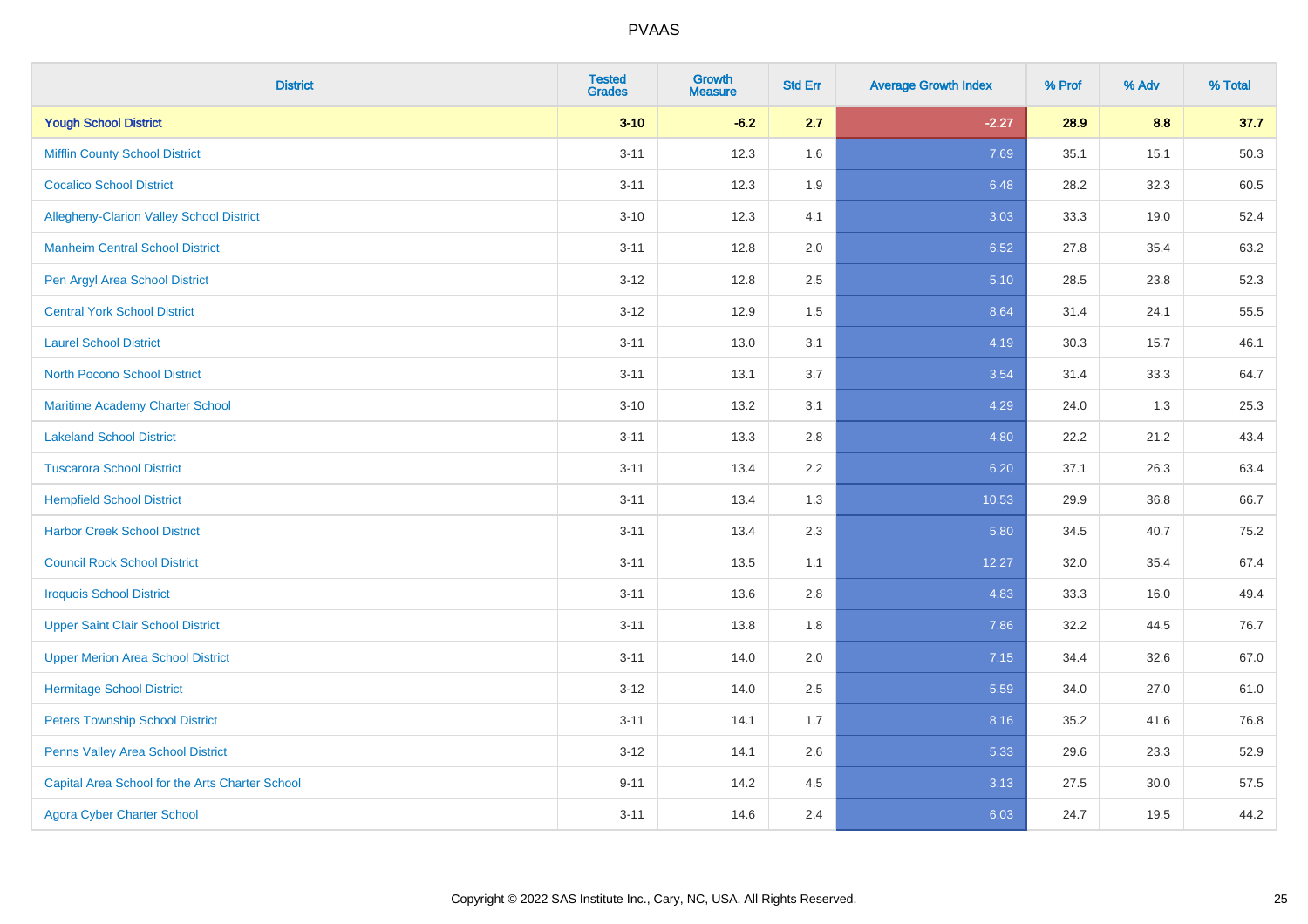| <b>District</b>                                 | <b>Tested</b><br><b>Grades</b> | <b>Growth</b><br><b>Measure</b> | <b>Std Err</b> | <b>Average Growth Index</b> | % Prof | % Adv | % Total |
|-------------------------------------------------|--------------------------------|---------------------------------|----------------|-----------------------------|--------|-------|---------|
| <b>Yough School District</b>                    | $3 - 10$                       | $-6.2$                          | 2.7            | $-2.27$                     | 28.9   | 8.8   | 37.7    |
| <b>Mifflin County School District</b>           | $3 - 11$                       | 12.3                            | 1.6            | 7.69                        | 35.1   | 15.1  | 50.3    |
| <b>Cocalico School District</b>                 | $3 - 11$                       | 12.3                            | 1.9            | 6.48                        | 28.2   | 32.3  | 60.5    |
| Allegheny-Clarion Valley School District        | $3 - 10$                       | 12.3                            | 4.1            | 3.03                        | 33.3   | 19.0  | 52.4    |
| <b>Manheim Central School District</b>          | $3 - 11$                       | 12.8                            | 2.0            | 6.52                        | 27.8   | 35.4  | 63.2    |
| Pen Argyl Area School District                  | $3 - 12$                       | 12.8                            | 2.5            | 5.10                        | 28.5   | 23.8  | 52.3    |
| <b>Central York School District</b>             | $3 - 12$                       | 12.9                            | 1.5            | 8.64                        | 31.4   | 24.1  | 55.5    |
| <b>Laurel School District</b>                   | $3 - 11$                       | 13.0                            | 3.1            | 4.19                        | 30.3   | 15.7  | 46.1    |
| North Pocono School District                    | $3 - 11$                       | 13.1                            | 3.7            | 3.54                        | 31.4   | 33.3  | 64.7    |
| <b>Maritime Academy Charter School</b>          | $3 - 10$                       | 13.2                            | 3.1            | 4.29                        | 24.0   | 1.3   | 25.3    |
| <b>Lakeland School District</b>                 | $3 - 11$                       | 13.3                            | 2.8            | 4.80                        | 22.2   | 21.2  | 43.4    |
| <b>Tuscarora School District</b>                | $3 - 11$                       | 13.4                            | 2.2            | 6.20                        | 37.1   | 26.3  | 63.4    |
| <b>Hempfield School District</b>                | $3 - 11$                       | 13.4                            | 1.3            | 10.53                       | 29.9   | 36.8  | 66.7    |
| <b>Harbor Creek School District</b>             | $3 - 11$                       | 13.4                            | 2.3            | 5.80                        | 34.5   | 40.7  | 75.2    |
| <b>Council Rock School District</b>             | $3 - 11$                       | 13.5                            | 1.1            | 12.27                       | 32.0   | 35.4  | 67.4    |
| <b>Iroquois School District</b>                 | $3 - 11$                       | 13.6                            | 2.8            | 4.83                        | 33.3   | 16.0  | 49.4    |
| <b>Upper Saint Clair School District</b>        | $3 - 11$                       | 13.8                            | 1.8            | 7.86                        | 32.2   | 44.5  | 76.7    |
| <b>Upper Merion Area School District</b>        | $3 - 11$                       | 14.0                            | 2.0            | 7.15                        | 34.4   | 32.6  | 67.0    |
| <b>Hermitage School District</b>                | $3 - 12$                       | 14.0                            | 2.5            | 5.59                        | 34.0   | 27.0  | 61.0    |
| <b>Peters Township School District</b>          | $3 - 11$                       | 14.1                            | 1.7            | 8.16                        | 35.2   | 41.6  | 76.8    |
| Penns Valley Area School District               | $3 - 12$                       | 14.1                            | 2.6            | 5.33                        | 29.6   | 23.3  | 52.9    |
| Capital Area School for the Arts Charter School | $9 - 11$                       | 14.2                            | 4.5            | 3.13                        | 27.5   | 30.0  | 57.5    |
| <b>Agora Cyber Charter School</b>               | $3 - 11$                       | 14.6                            | 2.4            | 6.03                        | 24.7   | 19.5  | 44.2    |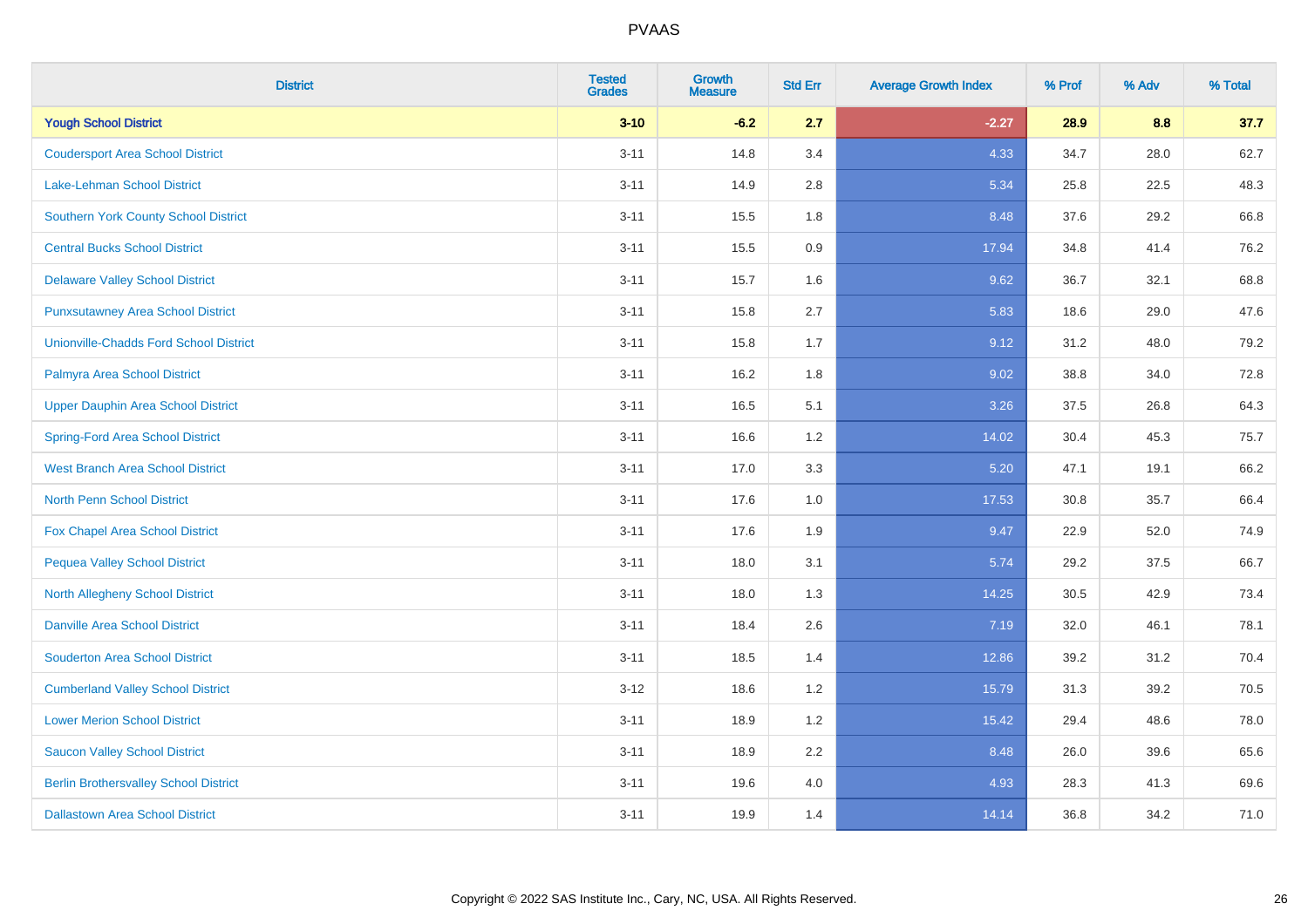| <b>District</b>                               | <b>Tested</b><br><b>Grades</b> | <b>Growth</b><br><b>Measure</b> | <b>Std Err</b> | <b>Average Growth Index</b> | % Prof | % Adv | % Total |
|-----------------------------------------------|--------------------------------|---------------------------------|----------------|-----------------------------|--------|-------|---------|
| <b>Yough School District</b>                  | $3 - 10$                       | $-6.2$                          | 2.7            | $-2.27$                     | 28.9   | 8.8   | 37.7    |
| <b>Coudersport Area School District</b>       | $3 - 11$                       | 14.8                            | 3.4            | 4.33                        | 34.7   | 28.0  | 62.7    |
| Lake-Lehman School District                   | $3 - 11$                       | 14.9                            | 2.8            | 5.34                        | 25.8   | 22.5  | 48.3    |
| <b>Southern York County School District</b>   | $3 - 11$                       | 15.5                            | 1.8            | 8.48                        | 37.6   | 29.2  | 66.8    |
| <b>Central Bucks School District</b>          | $3 - 11$                       | 15.5                            | 0.9            | 17.94                       | 34.8   | 41.4  | 76.2    |
| <b>Delaware Valley School District</b>        | $3 - 11$                       | 15.7                            | 1.6            | 9.62                        | 36.7   | 32.1  | 68.8    |
| <b>Punxsutawney Area School District</b>      | $3 - 11$                       | 15.8                            | 2.7            | 5.83                        | 18.6   | 29.0  | 47.6    |
| <b>Unionville-Chadds Ford School District</b> | $3 - 11$                       | 15.8                            | 1.7            | 9.12                        | 31.2   | 48.0  | 79.2    |
| Palmyra Area School District                  | $3 - 11$                       | 16.2                            | 1.8            | 9.02                        | 38.8   | 34.0  | 72.8    |
| <b>Upper Dauphin Area School District</b>     | $3 - 11$                       | 16.5                            | 5.1            | 3.26                        | 37.5   | 26.8  | 64.3    |
| <b>Spring-Ford Area School District</b>       | $3 - 11$                       | 16.6                            | 1.2            | 14.02                       | 30.4   | 45.3  | 75.7    |
| <b>West Branch Area School District</b>       | $3 - 11$                       | 17.0                            | 3.3            | 5.20                        | 47.1   | 19.1  | 66.2    |
| North Penn School District                    | $3 - 11$                       | 17.6                            | 1.0            | 17.53                       | 30.8   | 35.7  | 66.4    |
| Fox Chapel Area School District               | $3 - 11$                       | 17.6                            | 1.9            | 9.47                        | 22.9   | 52.0  | 74.9    |
| <b>Pequea Valley School District</b>          | $3 - 11$                       | 18.0                            | 3.1            | 5.74                        | 29.2   | 37.5  | 66.7    |
| North Allegheny School District               | $3 - 11$                       | 18.0                            | 1.3            | 14.25                       | 30.5   | 42.9  | 73.4    |
| <b>Danville Area School District</b>          | $3 - 11$                       | 18.4                            | 2.6            | 7.19                        | 32.0   | 46.1  | 78.1    |
| <b>Souderton Area School District</b>         | $3 - 11$                       | 18.5                            | 1.4            | 12.86                       | 39.2   | 31.2  | 70.4    |
| <b>Cumberland Valley School District</b>      | $3 - 12$                       | 18.6                            | 1.2            | 15.79                       | 31.3   | 39.2  | 70.5    |
| <b>Lower Merion School District</b>           | $3 - 11$                       | 18.9                            | 1.2            | 15.42                       | 29.4   | 48.6  | 78.0    |
| <b>Saucon Valley School District</b>          | $3 - 11$                       | 18.9                            | 2.2            | 8.48                        | 26.0   | 39.6  | 65.6    |
| <b>Berlin Brothersvalley School District</b>  | $3 - 11$                       | 19.6                            | 4.0            | 4.93                        | 28.3   | 41.3  | 69.6    |
| <b>Dallastown Area School District</b>        | $3 - 11$                       | 19.9                            | 1.4            | 14.14                       | 36.8   | 34.2  | 71.0    |